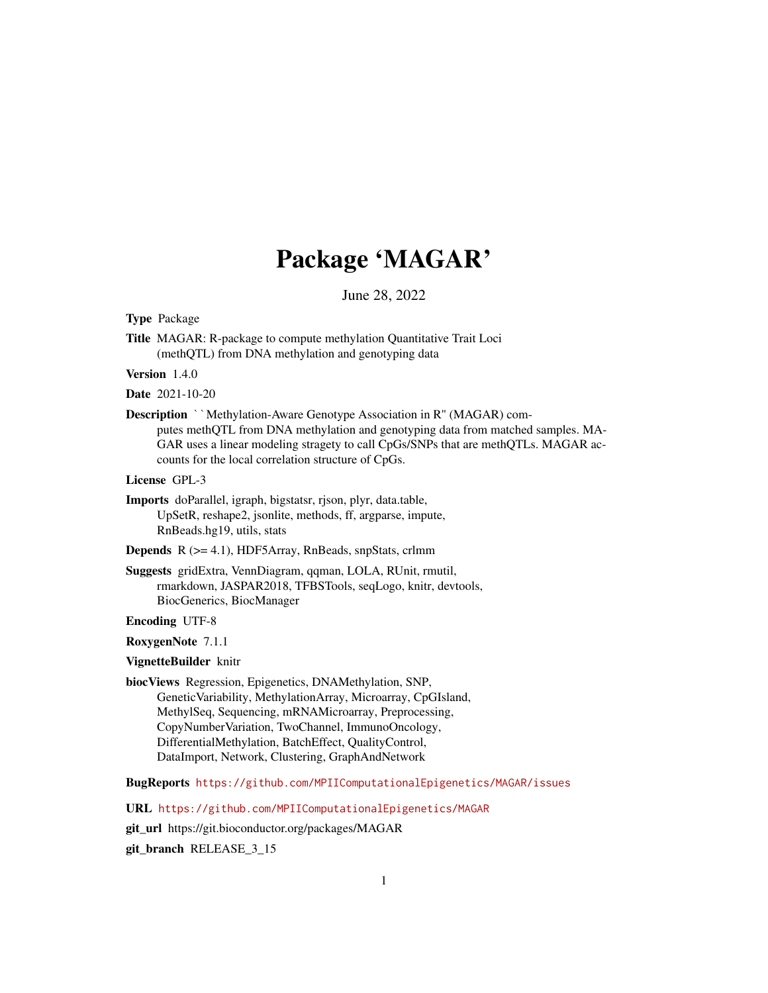# Package 'MAGAR'

June 28, 2022

<span id="page-0-0"></span>Type Package

Title MAGAR: R-package to compute methylation Quantitative Trait Loci (methQTL) from DNA methylation and genotyping data

Version 1.4.0

Date 2021-10-20

**Description** ``Methylation-Aware Genotype Association in R" (MAGAR) computes methQTL from DNA methylation and genotyping data from matched samples. MA-GAR uses a linear modeling stragety to call CpGs/SNPs that are methQTLs. MAGAR accounts for the local correlation structure of CpGs.

License GPL-3

Imports doParallel, igraph, bigstatsr, rjson, plyr, data.table, UpSetR, reshape2, jsonlite, methods, ff, argparse, impute, RnBeads.hg19, utils, stats

Depends R (>= 4.1), HDF5Array, RnBeads, snpStats, crlmm

Suggests gridExtra, VennDiagram, qqman, LOLA, RUnit, rmutil, rmarkdown, JASPAR2018, TFBSTools, seqLogo, knitr, devtools, BiocGenerics, BiocManager

Encoding UTF-8

RoxygenNote 7.1.1

VignetteBuilder knitr

biocViews Regression, Epigenetics, DNAMethylation, SNP, GeneticVariability, MethylationArray, Microarray, CpGIsland, MethylSeq, Sequencing, mRNAMicroarray, Preprocessing, CopyNumberVariation, TwoChannel, ImmunoOncology, DifferentialMethylation, BatchEffect, QualityControl, DataImport, Network, Clustering, GraphAndNetwork

BugReports <https://github.com/MPIIComputationalEpigenetics/MAGAR/issues>

URL <https://github.com/MPIIComputationalEpigenetics/MAGAR>

git\_url https://git.bioconductor.org/packages/MAGAR

git\_branch RELEASE\_3\_15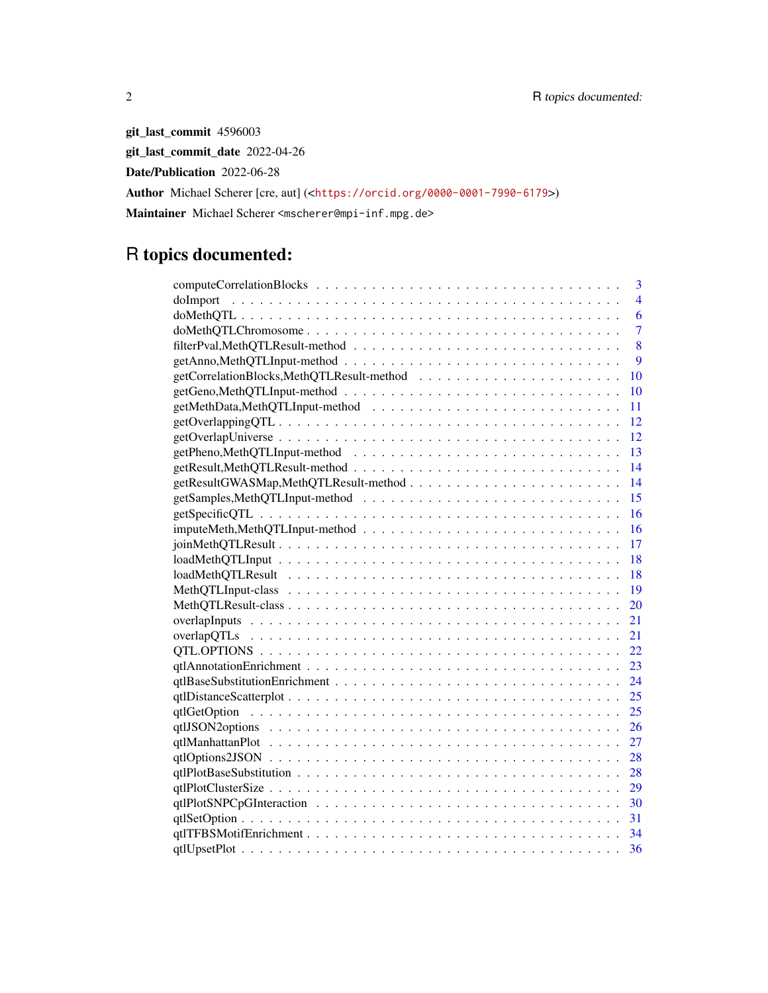git\_last\_commit 4596003 git\_last\_commit\_date 2022-04-26 Date/Publication 2022-06-28 Author Michael Scherer [cre, aut] (<<https://orcid.org/0000-0001-7990-6179>>) Maintainer Michael Scherer <mscherer@mpi-inf.mpg.de>

## R topics documented:

| 3              |
|----------------|
| 4              |
| 6              |
| $\overline{7}$ |
| 8              |
| 9              |
| 10             |
| 10             |
| 11             |
| 12             |
| 12             |
| 13             |
| -14            |
| -14            |
| 15             |
| 16             |
| 16             |
| 17             |
| 18             |
| 18             |
| 19             |
| 20             |
| 21             |
| 21             |
| 22             |
| 23             |
| 24             |
| 25             |
| 25             |
| 26             |
| 27             |
| 28             |
| 28             |
| 29             |
| 30             |
| 31             |
| 34             |
| 36             |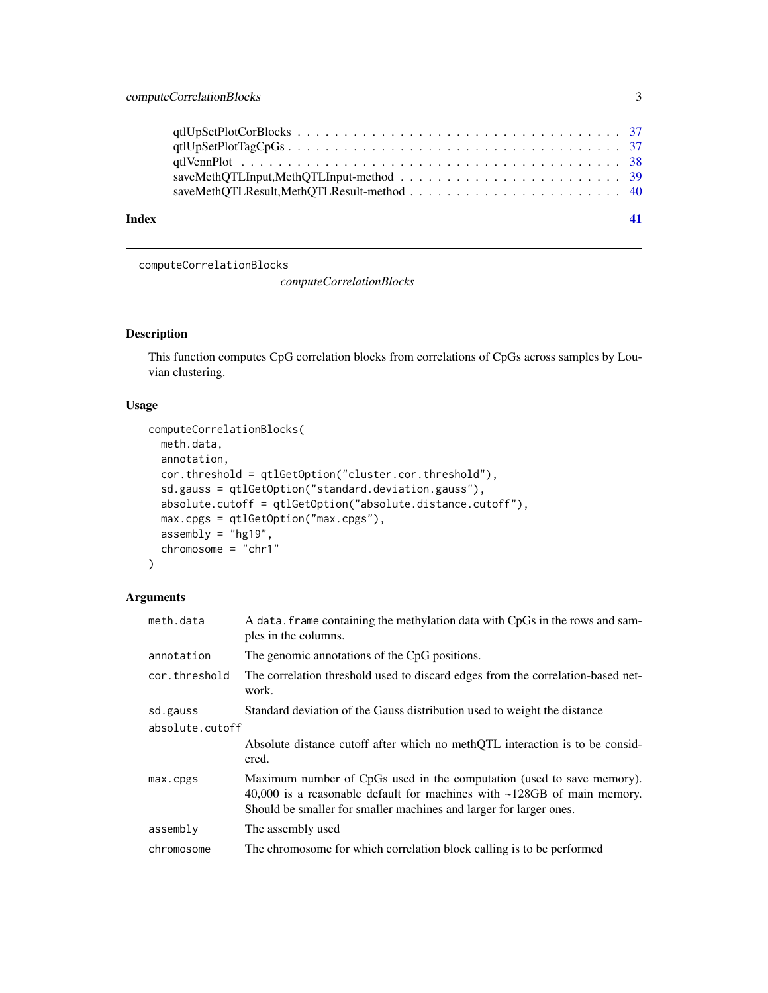<span id="page-2-0"></span>

computeCorrelationBlocks

*computeCorrelationBlocks*

#### Description

This function computes CpG correlation blocks from correlations of CpGs across samples by Louvian clustering.

### Usage

```
computeCorrelationBlocks(
 meth.data,
 annotation,
 cor.threshold = qtlGetOption("cluster.cor.threshold"),
  sd.gauss = qtlGetOption("standard.deviation.gauss"),
  absolute.cutoff = qtlGetOption("absolute.distance.cutoff"),
 max.cpgs = qtlGetOption("max.cpgs"),
 assembly = "hg19",chromosome = "chr1"
)
```
#### Arguments

| meth.data       | A data. frame containing the methylation data with CpGs in the rows and sam-<br>ples in the columns.                                                                                                                         |
|-----------------|------------------------------------------------------------------------------------------------------------------------------------------------------------------------------------------------------------------------------|
| annotation      | The genomic annotations of the CpG positions.                                                                                                                                                                                |
| cor.threshold   | The correlation threshold used to discard edges from the correlation-based net-<br>work.                                                                                                                                     |
| sd.gauss        | Standard deviation of the Gauss distribution used to weight the distance                                                                                                                                                     |
| absolute.cutoff |                                                                                                                                                                                                                              |
|                 | Absolute distance cutoff after which no methQTL interaction is to be consid-<br>ered.                                                                                                                                        |
| max.cpgs        | Maximum number of CpGs used in the computation (used to save memory).<br>40,000 is a reasonable default for machines with $\sim$ 128GB of main memory.<br>Should be smaller for smaller machines and larger for larger ones. |
| assembly        | The assembly used                                                                                                                                                                                                            |
| chromosome      | The chromosome for which correlation block calling is to be performed                                                                                                                                                        |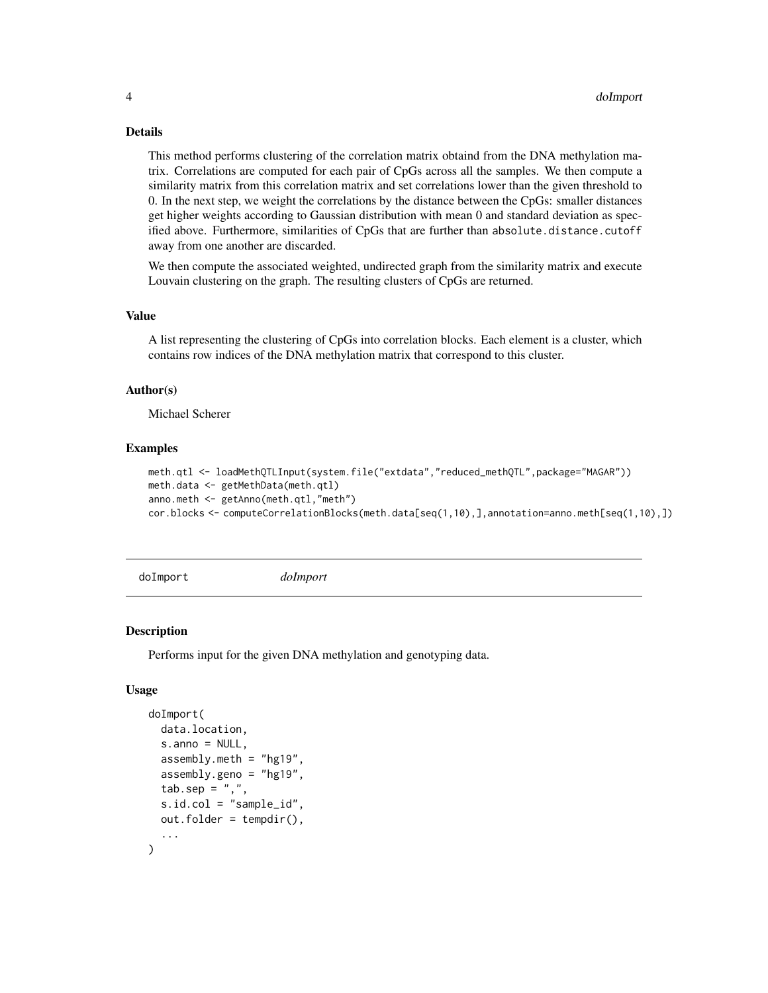#### Details

This method performs clustering of the correlation matrix obtaind from the DNA methylation matrix. Correlations are computed for each pair of CpGs across all the samples. We then compute a similarity matrix from this correlation matrix and set correlations lower than the given threshold to 0. In the next step, we weight the correlations by the distance between the CpGs: smaller distances get higher weights according to Gaussian distribution with mean 0 and standard deviation as specified above. Furthermore, similarities of CpGs that are further than absolute.distance.cutoff away from one another are discarded.

We then compute the associated weighted, undirected graph from the similarity matrix and execute Louvain clustering on the graph. The resulting clusters of CpGs are returned.

#### Value

A list representing the clustering of CpGs into correlation blocks. Each element is a cluster, which contains row indices of the DNA methylation matrix that correspond to this cluster.

#### Author(s)

Michael Scherer

#### Examples

```
meth.qtl <- loadMethQTLInput(system.file("extdata","reduced_methQTL",package="MAGAR"))
meth.data <- getMethData(meth.qtl)
anno.meth <- getAnno(meth.qtl,"meth")
cor.blocks <- computeCorrelationBlocks(meth.data[seq(1,10),],annotation=anno.meth[seq(1,10),])
```
doImport *doImport*

#### **Description**

Performs input for the given DNA methylation and genotyping data.

#### Usage

```
doImport(
  data.location,
  s.anno = NULL,
  assembly.meth = "hg19",
  assently.geno = "hg19",tab.\nsep = ","s.id.col = "sample_id",
  out.folder = tempdir(),
  ...
)
```
<span id="page-3-0"></span>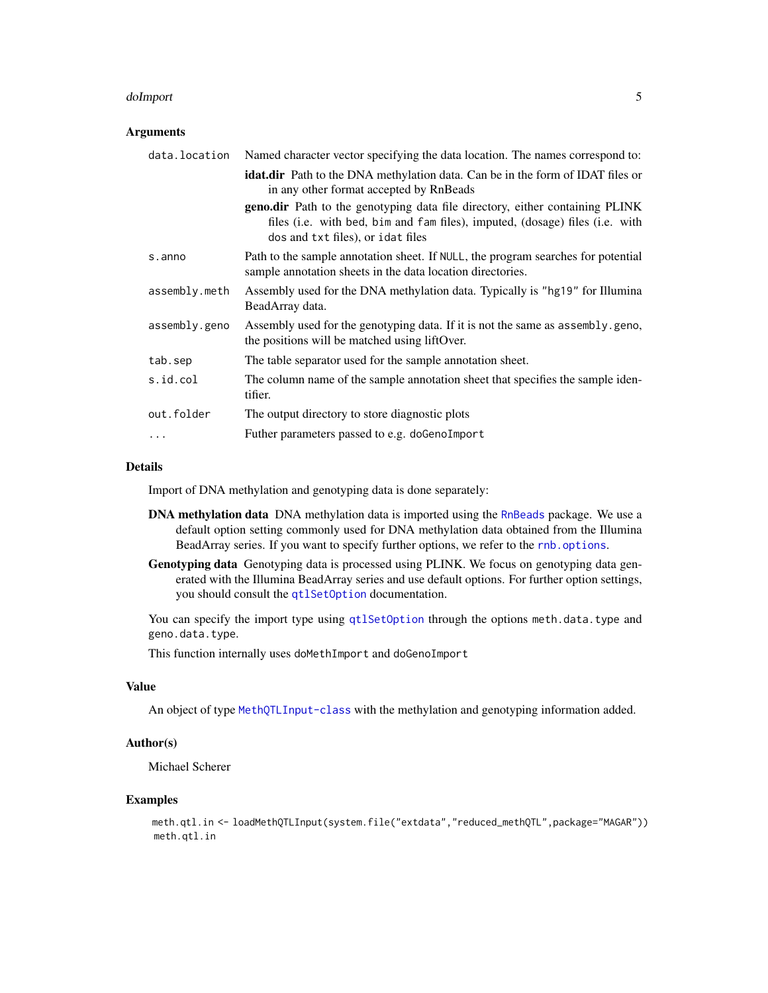#### <span id="page-4-0"></span>doImport 50 to 30 minutes and 20 minutes and 30 minutes and 30 minutes and 30 minutes and 30 minutes and 30 minutes and 30 minutes and 30 minutes and 30 minutes and 30 minutes and 30 minutes and 30 minutes and 30 minutes a

#### Arguments

| data.location | Named character vector specifying the data location. The names correspond to:                                                                                                                     |
|---------------|---------------------------------------------------------------------------------------------------------------------------------------------------------------------------------------------------|
|               | <b>idat.dir</b> Path to the DNA methylation data. Can be in the form of IDAT files or<br>in any other format accepted by RnBeads                                                                  |
|               | geno.dir Path to the genotyping data file directory, either containing PLINK<br>files (i.e. with bed, bim and fam files), imputed, (dosage) files (i.e. with<br>dos and txt files), or idat files |
| s.anno        | Path to the sample annotation sheet. If NULL, the program searches for potential<br>sample annotation sheets in the data location directories.                                                    |
| assembly.meth | Assembly used for the DNA methylation data. Typically is "hg19" for Illumina<br>BeadArray data.                                                                                                   |
| assembly.geno | Assembly used for the genotyping data. If it is not the same as assembly, geno,<br>the positions will be matched using lift Over.                                                                 |
| tab.sep       | The table separator used for the sample annotation sheet.                                                                                                                                         |
| s.id.col      | The column name of the sample annotation sheet that specifies the sample iden-<br>tifier.                                                                                                         |
| out.folder    | The output directory to store diagnostic plots                                                                                                                                                    |
| .             | Futher parameters passed to e.g. doGenoImport                                                                                                                                                     |

#### Details

Import of DNA methylation and genotyping data is done separately:

- DNA methylation data DNA methylation data is imported using the [RnBeads](#page-0-0) package. We use a default option setting commonly used for DNA methylation data obtained from the Illumina BeadArray series. If you want to specify further options, we refer to the [rnb.options](#page-0-0).
- Genotyping data Genotyping data is processed using PLINK. We focus on genotyping data generated with the Illumina BeadArray series and use default options. For further option settings, you should consult the [qtlSetOption](#page-30-1) documentation.

You can specify the import type using [qtlSetOption](#page-30-1) through the options meth.data.type and geno.data.type.

This function internally uses doMethImport and doGenoImport

#### Value

An object of type [MethQTLInput-class](#page-18-1) with the methylation and genotyping information added.

#### Author(s)

Michael Scherer

#### Examples

meth.qtl.in <- loadMethQTLInput(system.file("extdata","reduced\_methQTL",package="MAGAR")) meth.qtl.in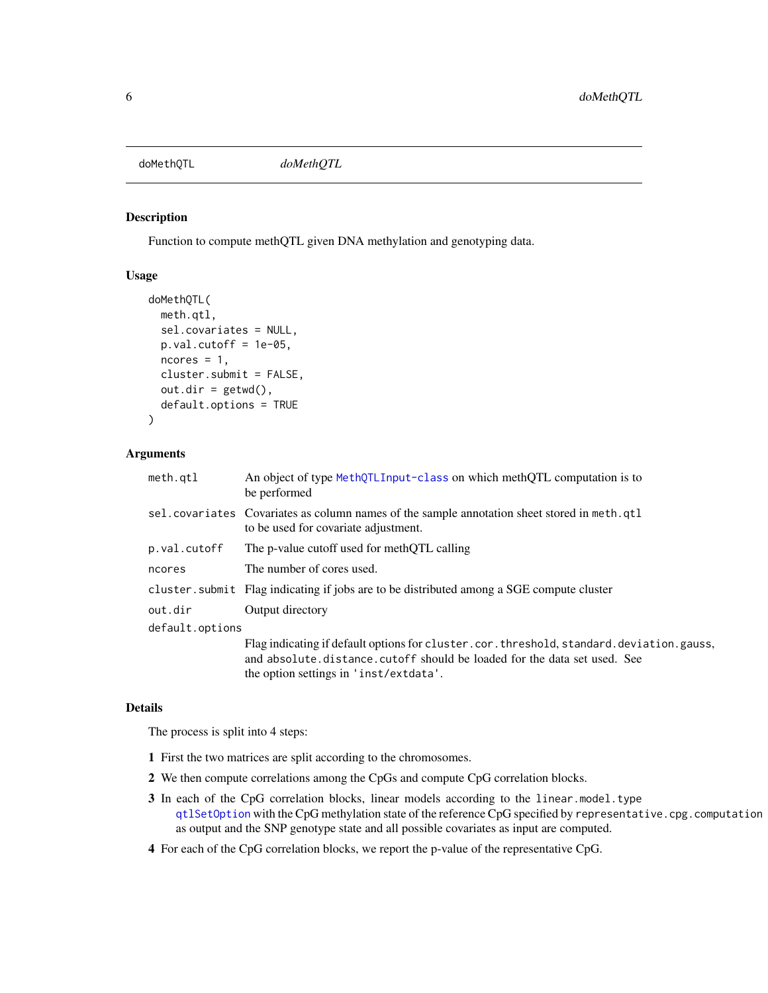#### <span id="page-5-0"></span>doMethQTL *doMethQTL*

#### Description

Function to compute methQTL given DNA methylation and genotyping data.

#### Usage

```
doMethQTL(
 meth.qtl,
  sel.covariates = NULL,
 p.val.cutoff = 1e-05,
 ncores = 1,
 cluster.submit = FALSE,
 out.dim = getwd(),default.options = TRUE
)
```
#### Arguments

| meth.qtl        | An object of type MethOTLInput-class on which methOTL computation is to<br>be performed                                                                                                                       |
|-----------------|---------------------------------------------------------------------------------------------------------------------------------------------------------------------------------------------------------------|
|                 | sel. covariates Covariates as column names of the sample annotation sheet stored in meth. qtl<br>to be used for covariate adjustment.                                                                         |
| p.val.cutoff    | The p-value cutoff used for methOTL calling                                                                                                                                                                   |
| ncores          | The number of cores used.                                                                                                                                                                                     |
|                 | cluster. submit Flag indicating if jobs are to be distributed among a SGE compute cluster                                                                                                                     |
| out.dir         | Output directory                                                                                                                                                                                              |
| default.options |                                                                                                                                                                                                               |
|                 | Flag indicating if default options for cluster.cor.threshold, standard.deviation.gauss,<br>and absolute distance cutoff should be loaded for the data set used. See<br>the option settings in 'inst/extdata'. |

#### Details

The process is split into 4 steps:

- 1 First the two matrices are split according to the chromosomes.
- 2 We then compute correlations among the CpGs and compute CpG correlation blocks.
- 3 In each of the CpG correlation blocks, linear models according to the linear.model.type [qtlSetOption](#page-30-1) with the CpG methylation state of the reference CpG specified by representative.cpg.computation as output and the SNP genotype state and all possible covariates as input are computed.
- 4 For each of the CpG correlation blocks, we report the p-value of the representative CpG.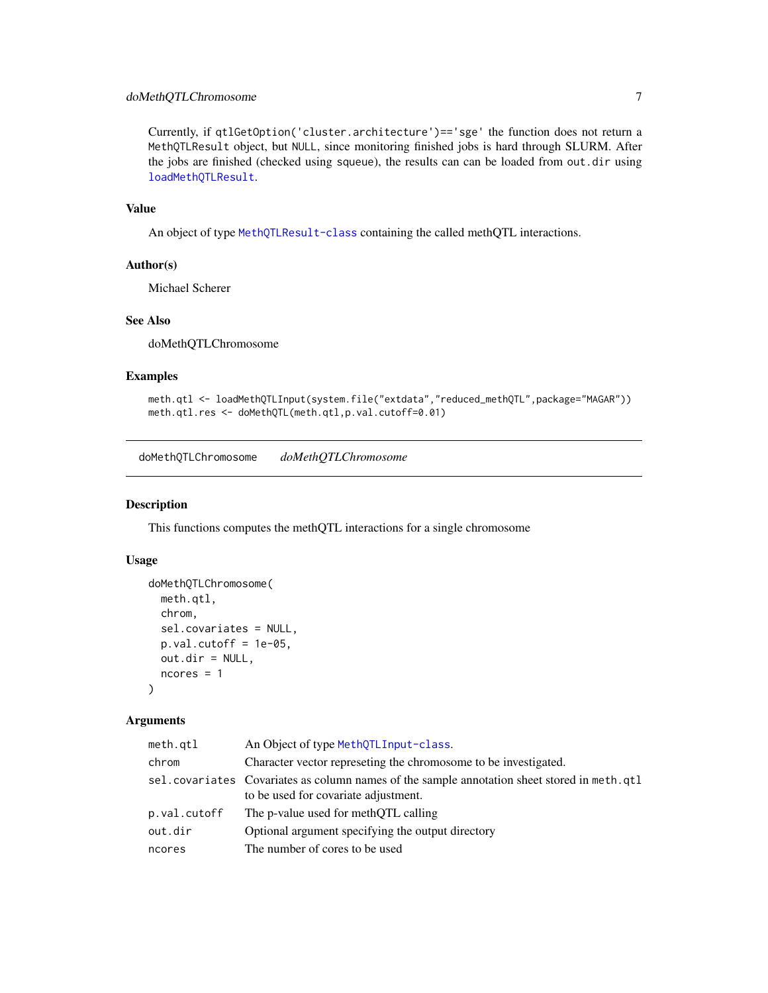#### <span id="page-6-0"></span>doMethQTLChromosome 7

Currently, if qtlGetOption('cluster.architecture')=='sge' the function does not return a MethQTLResult object, but NULL, since monitoring finished jobs is hard through SLURM. After the jobs are finished (checked using squeue), the results can can be loaded from out.dir using [loadMethQTLResult](#page-17-1).

#### Value

An object of type [MethQTLResult-class](#page-19-1) containing the called methQTL interactions.

#### Author(s)

Michael Scherer

#### See Also

doMethQTLChromosome

#### Examples

```
meth.qtl <- loadMethQTLInput(system.file("extdata","reduced_methQTL",package="MAGAR"))
meth.qtl.res <- doMethQTL(meth.qtl,p.val.cutoff=0.01)
```
doMethQTLChromosome *doMethQTLChromosome*

#### Description

This functions computes the methQTL interactions for a single chromosome

#### Usage

```
doMethQTLChromosome(
  meth.qtl,
  chrom,
  sel.covariates = NULL,
  p.val.cutoff = 1e-05,
  out.dir = NULL,
  ncores = 1
\lambda
```
#### Arguments

| meth.qtl     | An Object of type MethQTLInput-class.                                                                                                 |
|--------------|---------------------------------------------------------------------------------------------------------------------------------------|
| chrom        | Character vector represeting the chromosome to be investigated.                                                                       |
|              | sel. covariates Covariates as column names of the sample annotation sheet stored in meth. qtl<br>to be used for covariate adjustment. |
| p.val.cutoff | The p-value used for methOTL calling                                                                                                  |
| out.dir      | Optional argument specifying the output directory                                                                                     |
| ncores       | The number of cores to be used                                                                                                        |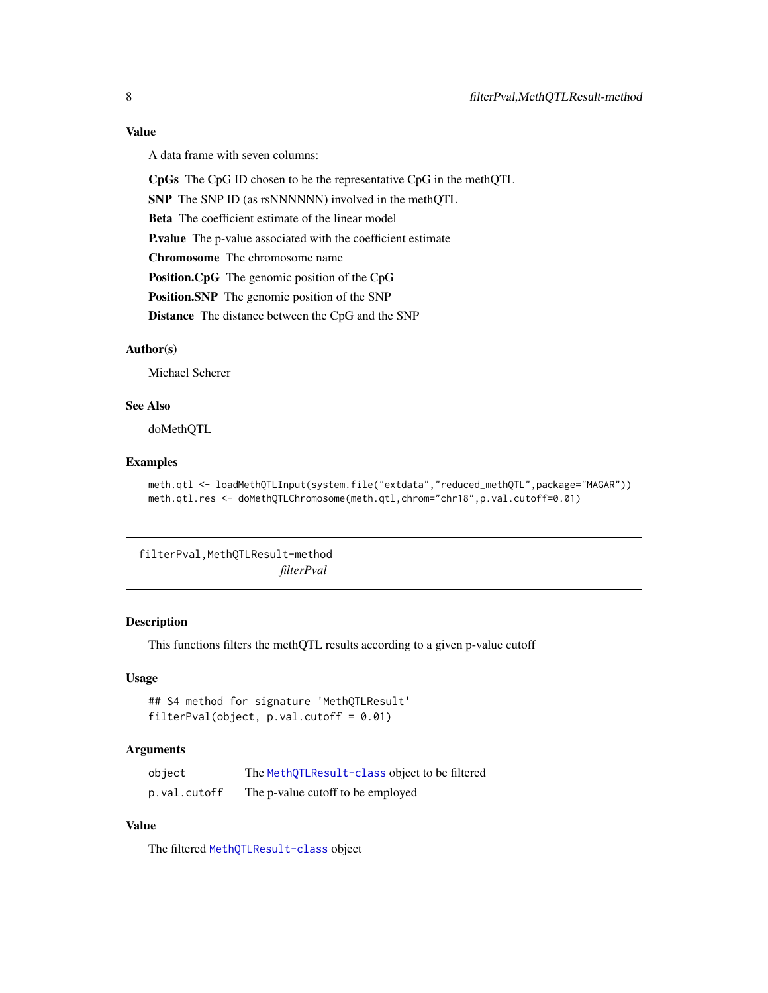#### <span id="page-7-0"></span>Value

A data frame with seven columns:

CpGs The CpG ID chosen to be the representative CpG in the methQTL

SNP The SNP ID (as rsNNNNNN) involved in the methQTL

Beta The coefficient estimate of the linear model

P.value The p-value associated with the coefficient estimate

Chromosome The chromosome name

Position.CpG The genomic position of the CpG

Position.SNP The genomic position of the SNP

Distance The distance between the CpG and the SNP

#### Author(s)

Michael Scherer

#### See Also

doMethQTL

#### Examples

```
meth.qtl <- loadMethQTLInput(system.file("extdata","reduced_methQTL",package="MAGAR"))
meth.qtl.res <- doMethQTLChromosome(meth.qtl,chrom="chr18",p.val.cutoff=0.01)
```
filterPval,MethQTLResult-method

*filterPval*

#### Description

This functions filters the methQTL results according to a given p-value cutoff

#### Usage

```
## S4 method for signature 'MethQTLResult'
filterPval(object, p.val.cutoff = 0.01)
```
#### Arguments

| object       | The MethQTLResult-class object to be filtered |
|--------------|-----------------------------------------------|
| p.val.cutoff | The p-value cutoff to be employed             |

#### Value

The filtered [MethQTLResult-class](#page-19-1) object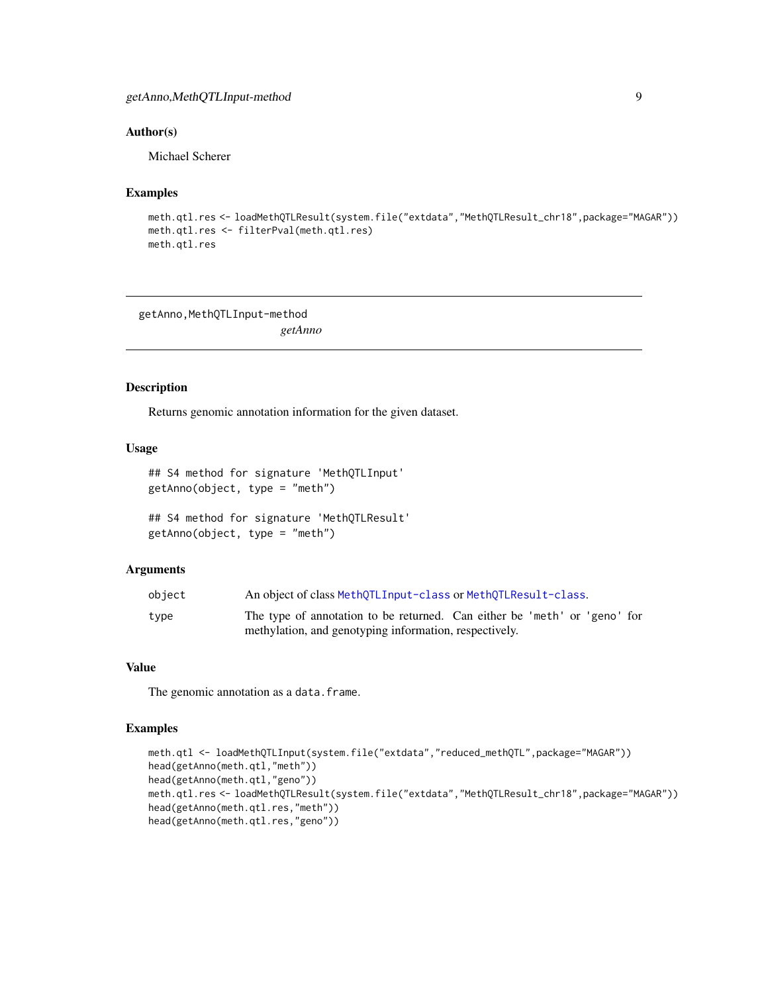#### <span id="page-8-0"></span>getAnno,MethQTLInput-method 9

#### Author(s)

Michael Scherer

#### Examples

```
meth.qtl.res <- loadMethQTLResult(system.file("extdata","MethQTLResult_chr18",package="MAGAR"))
meth.qtl.res <- filterPval(meth.qtl.res)
meth.qtl.res
```
getAnno, MethQTLInput-method *getAnno*

#### <span id="page-8-1"></span>Description

Returns genomic annotation information for the given dataset.

#### Usage

```
## S4 method for signature 'MethQTLInput'
getAnno(object, type = "meth")
```

```
## S4 method for signature 'MethQTLResult'
getAnno(object, type = "meth")
```
#### **Arguments**

| object | An object of class MethQTLInput-class or MethQTLResult-class.             |
|--------|---------------------------------------------------------------------------|
| type   | The type of annotation to be returned. Can either be 'meth' or 'geno' for |
|        | methylation, and genotyping information, respectively.                    |

#### Value

The genomic annotation as a data.frame.

```
meth.qtl <- loadMethQTLInput(system.file("extdata","reduced_methQTL",package="MAGAR"))
head(getAnno(meth.qtl,"meth"))
head(getAnno(meth.qtl,"geno"))
meth.qtl.res <- loadMethQTLResult(system.file("extdata","MethQTLResult_chr18",package="MAGAR"))
head(getAnno(meth.qtl.res,"meth"))
head(getAnno(meth.qtl.res,"geno"))
```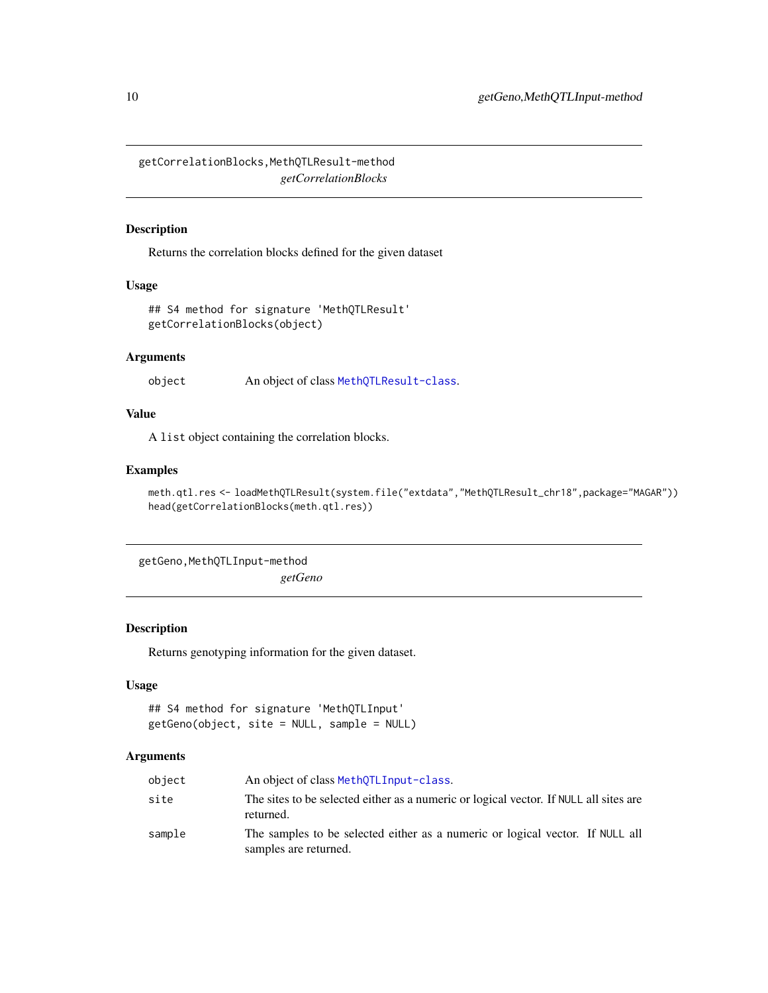<span id="page-9-0"></span>getCorrelationBlocks,MethQTLResult-method *getCorrelationBlocks*

#### Description

Returns the correlation blocks defined for the given dataset

#### Usage

```
## S4 method for signature 'MethQTLResult'
getCorrelationBlocks(object)
```
#### Arguments

object An object of class [MethQTLResult-class](#page-19-1).

#### Value

A list object containing the correlation blocks.

#### Examples

```
meth.qtl.res <- loadMethQTLResult(system.file("extdata","MethQTLResult_chr18",package="MAGAR"))
head(getCorrelationBlocks(meth.qtl.res))
```
getGeno,MethQTLInput-method

*getGeno*

#### <span id="page-9-1"></span>Description

Returns genotyping information for the given dataset.

#### Usage

```
## S4 method for signature 'MethQTLInput'
getGeno(object, site = NULL, sample = NULL)
```
#### Arguments

| object | An object of class MethOTLInput-class.                                                                 |
|--------|--------------------------------------------------------------------------------------------------------|
| site   | The sites to be selected either as a numeric or logical vector. If NULL all sites are<br>returned.     |
| sample | The samples to be selected either as a numeric or logical vector. If NULL all<br>samples are returned. |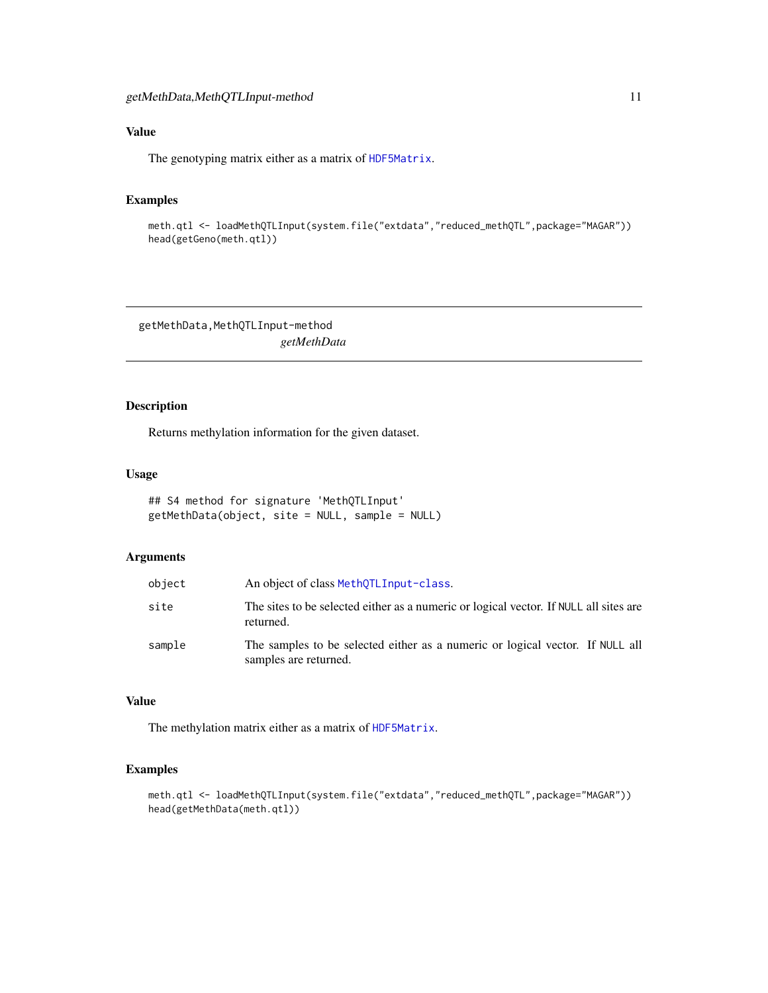#### <span id="page-10-0"></span>Value

The genotyping matrix either as a matrix of [HDF5Matrix](#page-0-0).

#### Examples

meth.qtl <- loadMethQTLInput(system.file("extdata","reduced\_methQTL",package="MAGAR")) head(getGeno(meth.qtl))

getMethData,MethQTLInput-method *getMethData*

#### <span id="page-10-1"></span>Description

Returns methylation information for the given dataset.

#### Usage

```
## S4 method for signature 'MethQTLInput'
getMethData(object, site = NULL, sample = NULL)
```
#### Arguments

| object | An object of class MethOTLInput-class.                                                                 |
|--------|--------------------------------------------------------------------------------------------------------|
| site   | The sites to be selected either as a numeric or logical vector. If NULL all sites are<br>returned.     |
| sample | The samples to be selected either as a numeric or logical vector. If NULL all<br>samples are returned. |

#### Value

The methylation matrix either as a matrix of [HDF5Matrix](#page-0-0).

```
meth.qtl <- loadMethQTLInput(system.file("extdata","reduced_methQTL",package="MAGAR"))
head(getMethData(meth.qtl))
```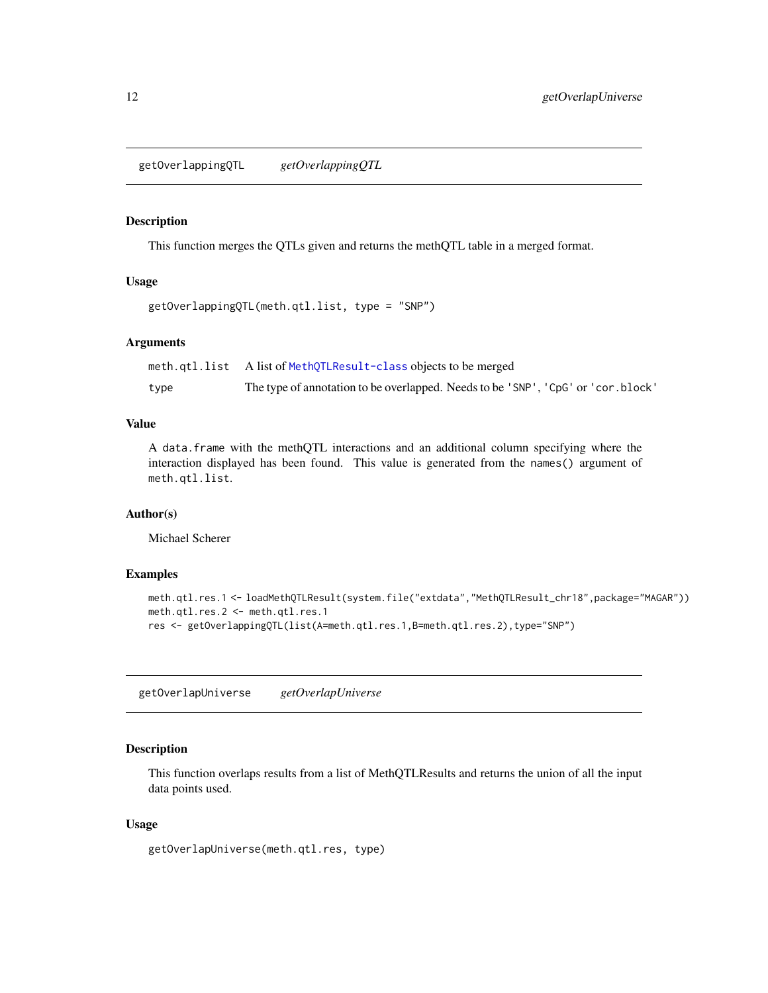<span id="page-11-0"></span>getOverlappingQTL *getOverlappingQTL*

#### Description

This function merges the QTLs given and returns the methQTL table in a merged format.

#### Usage

```
getOverlappingQTL(meth.qtl.list, type = "SNP")
```
#### Arguments

|      | meth.qtl.list A list of MethQTLResult-class objects to be merged                 |
|------|----------------------------------------------------------------------------------|
| type | The type of annotation to be overlapped. Needs to be 'SNP', 'CpG' or 'cor.block' |

#### Value

A data.frame with the methQTL interactions and an additional column specifying where the interaction displayed has been found. This value is generated from the names() argument of meth.qtl.list.

#### Author(s)

Michael Scherer

#### Examples

```
meth.qtl.res.1 <- loadMethQTLResult(system.file("extdata","MethQTLResult_chr18",package="MAGAR"))
meth.qtl.res.2 <- meth.qtl.res.1
res <- getOverlappingQTL(list(A=meth.qtl.res.1,B=meth.qtl.res.2),type="SNP")
```
getOverlapUniverse *getOverlapUniverse*

#### Description

This function overlaps results from a list of MethQTLResults and returns the union of all the input data points used.

#### Usage

getOverlapUniverse(meth.qtl.res, type)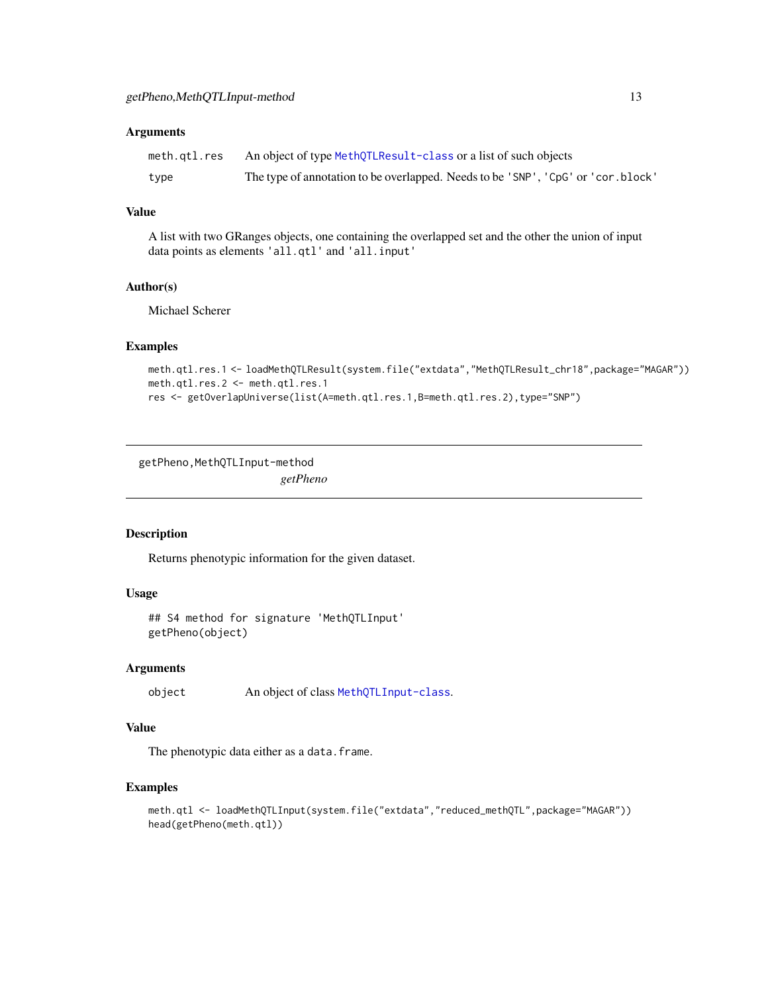#### <span id="page-12-0"></span>Arguments

| meth.gtl.res | An object of type MethQTLResult-class or a list of such objects                  |
|--------------|----------------------------------------------------------------------------------|
| type         | The type of annotation to be overlapped. Needs to be 'SNP', 'CpG' or 'cor.block' |

#### Value

A list with two GRanges objects, one containing the overlapped set and the other the union of input data points as elements 'all.qtl' and 'all.input'

#### Author(s)

Michael Scherer

#### Examples

```
meth.qtl.res.1 <- loadMethQTLResult(system.file("extdata","MethQTLResult_chr18",package="MAGAR"))
meth.qtl.res.2 <- meth.qtl.res.1
res <- getOverlapUniverse(list(A=meth.qtl.res.1,B=meth.qtl.res.2),type="SNP")
```
getPheno, MethQTLInput-method *getPheno*

#### <span id="page-12-1"></span>Description

Returns phenotypic information for the given dataset.

#### Usage

```
## S4 method for signature 'MethQTLInput'
getPheno(object)
```
#### Arguments

object An object of class [MethQTLInput-class](#page-18-1).

#### Value

The phenotypic data either as a data.frame.

```
meth.qtl <- loadMethQTLInput(system.file("extdata","reduced_methQTL",package="MAGAR"))
head(getPheno(meth.qtl))
```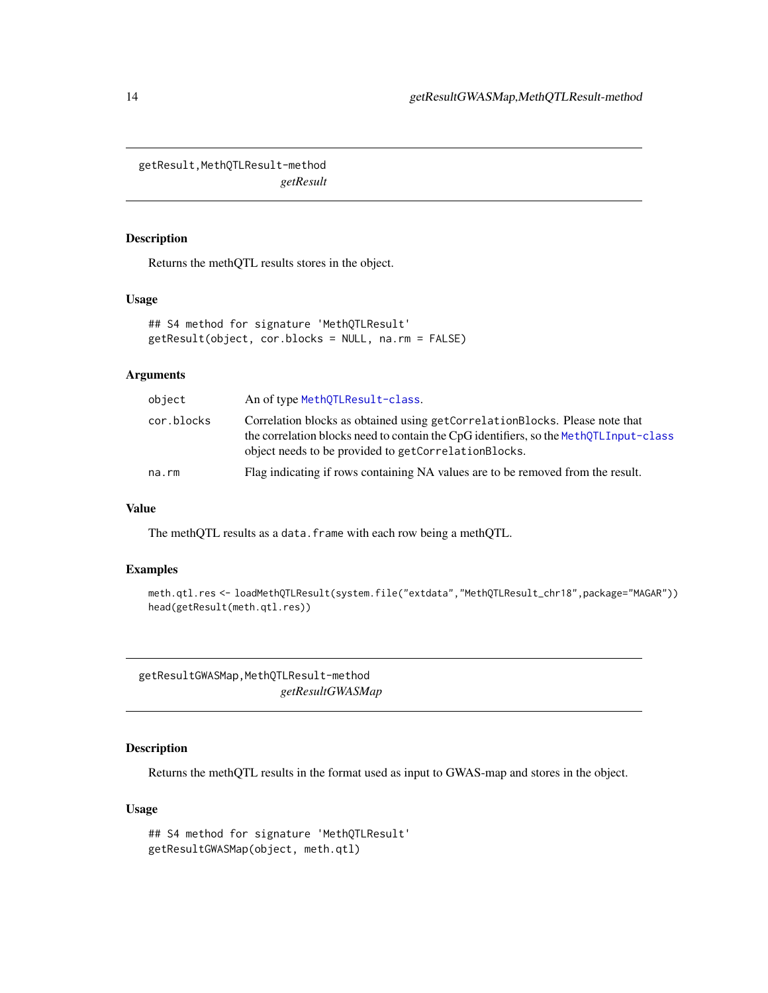<span id="page-13-1"></span><span id="page-13-0"></span>getResult,MethQTLResult-method *getResult*

#### Description

Returns the methQTL results stores in the object.

#### Usage

```
## S4 method for signature 'MethQTLResult'
getResult(object, cor.blocks = NULL, na.rm = FALSE)
```
#### Arguments

| An of type MethQTLResult-class.                                                                                                                                                                                                            |  |
|--------------------------------------------------------------------------------------------------------------------------------------------------------------------------------------------------------------------------------------------|--|
| Correlation blocks as obtained using getCorrelationBlocks. Please note that<br>cor.blocks<br>the correlation blocks need to contain the CpG identifiers, so the MethOTLInput-class<br>object needs to be provided to getCorrelationBlocks. |  |
| Flag indicating if rows containing NA values are to be removed from the result.<br>na.rm                                                                                                                                                   |  |

#### Value

The methQTL results as a data.frame with each row being a methQTL.

#### Examples

```
meth.qtl.res <- loadMethQTLResult(system.file("extdata","MethQTLResult_chr18",package="MAGAR"))
head(getResult(meth.qtl.res))
```
getResultGWASMap,MethQTLResult-method *getResultGWASMap*

#### Description

Returns the methQTL results in the format used as input to GWAS-map and stores in the object.

#### Usage

```
## S4 method for signature 'MethQTLResult'
getResultGWASMap(object, meth.qtl)
```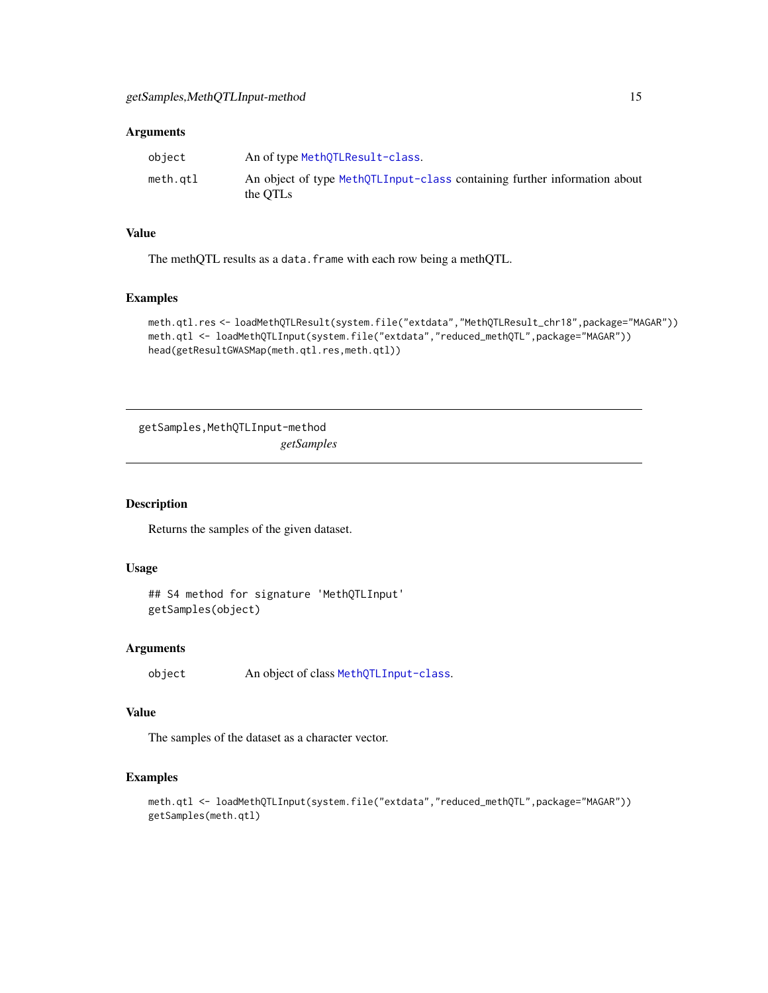#### <span id="page-14-0"></span>Arguments

| object   | An of type MethOTLResult-class.                                                       |
|----------|---------------------------------------------------------------------------------------|
| meth.qtl | An object of type MethQTLInput-class containing further information about<br>the OTLs |

#### Value

The methQTL results as a data.frame with each row being a methQTL.

#### Examples

```
meth.qtl.res <- loadMethQTLResult(system.file("extdata","MethQTLResult_chr18",package="MAGAR"))
meth.qtl <- loadMethQTLInput(system.file("extdata","reduced_methQTL",package="MAGAR"))
head(getResultGWASMap(meth.qtl.res,meth.qtl))
```
getSamples,MethQTLInput-method *getSamples*

#### Description

Returns the samples of the given dataset.

#### Usage

```
## S4 method for signature 'MethQTLInput'
getSamples(object)
```
#### Arguments

```
object An object of class MethQTLInput-class.
```
#### Value

The samples of the dataset as a character vector.

```
meth.qtl <- loadMethQTLInput(system.file("extdata","reduced_methQTL",package="MAGAR"))
getSamples(meth.qtl)
```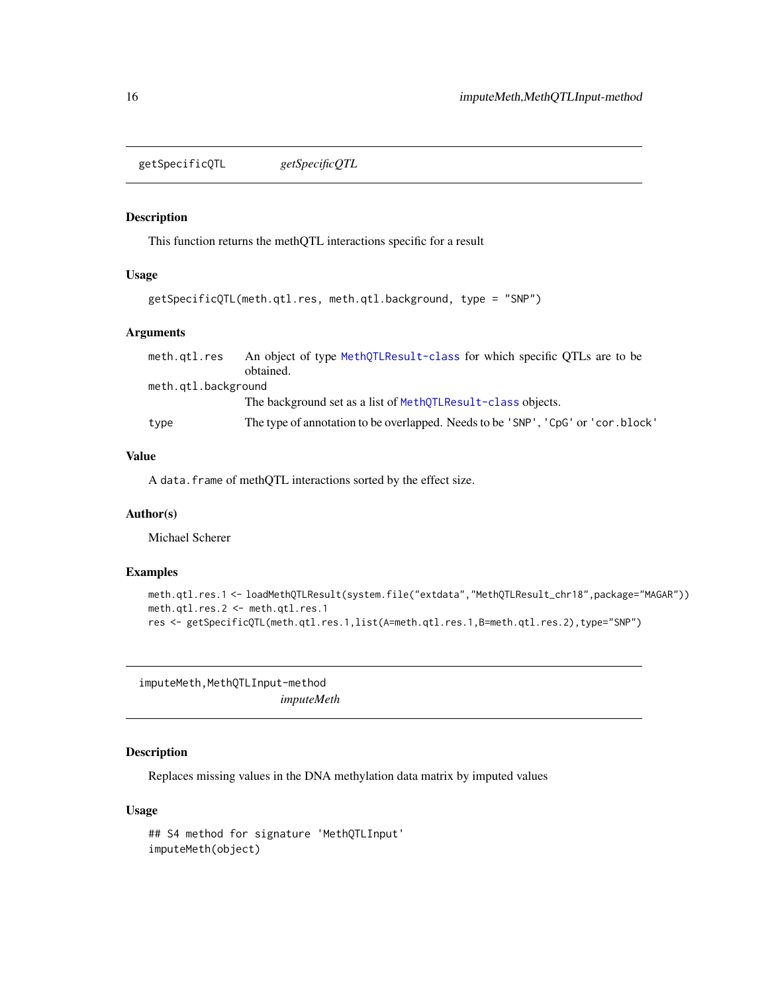<span id="page-15-0"></span>getSpecificQTL *getSpecificQTL*

#### Description

This function returns the methQTL interactions specific for a result

#### Usage

```
getSpecificQTL(meth.qtl.res, meth.qtl.background, type = "SNP")
```
#### Arguments

| meth.gtl.res        | An object of type MethOTLResult-class for which specific OTLs are to be           |  |
|---------------------|-----------------------------------------------------------------------------------|--|
|                     | obtained.                                                                         |  |
| meth.gtl.background |                                                                                   |  |
|                     | The background set as a list of MethOTLResult-class objects.                      |  |
| type                | The type of annotation to be overlapped. Needs to be 'SNP', 'CpG' or 'cor. block' |  |

#### Value

A data.frame of methQTL interactions sorted by the effect size.

#### Author(s)

Michael Scherer

#### Examples

```
meth.qtl.res.1 <- loadMethQTLResult(system.file("extdata","MethQTLResult_chr18",package="MAGAR"))
meth.qtl.res.2 <- meth.qtl.res.1
res <- getSpecificQTL(meth.qtl.res.1,list(A=meth.qtl.res.1,B=meth.qtl.res.2),type="SNP")
```
imputeMeth, MethQTLInput-method *imputeMeth*

#### <span id="page-15-1"></span>Description

Replaces missing values in the DNA methylation data matrix by imputed values

#### Usage

```
## S4 method for signature 'MethQTLInput'
imputeMeth(object)
```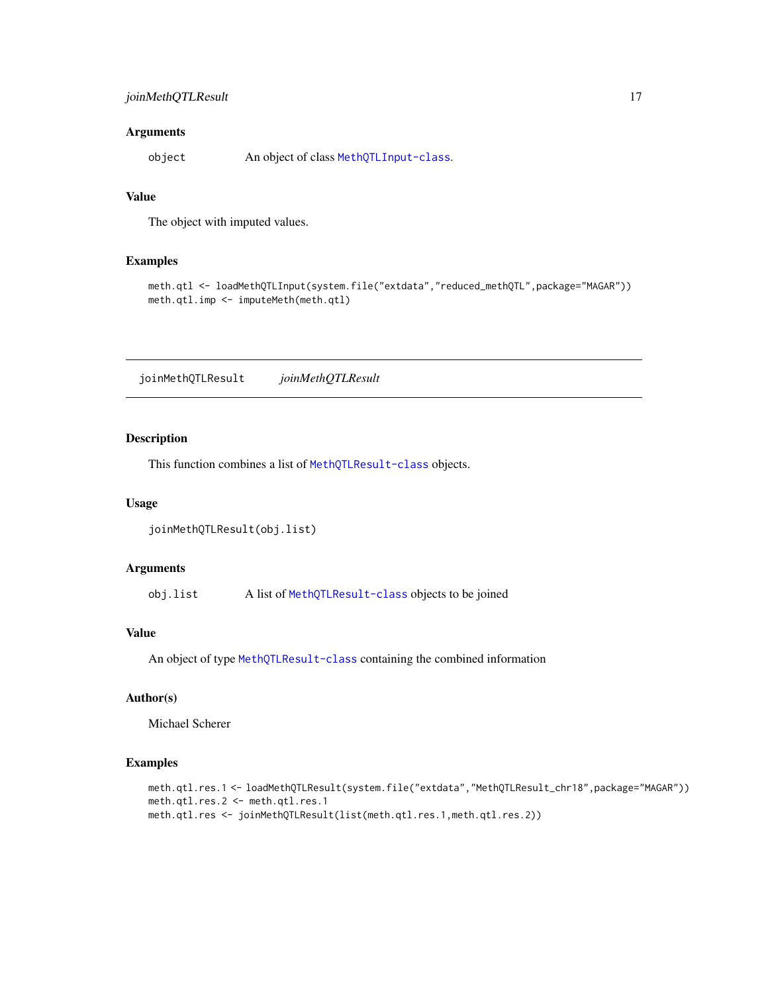#### <span id="page-16-0"></span>Arguments

object An object of class [MethQTLInput-class](#page-18-1).

#### Value

The object with imputed values.

#### Examples

```
meth.qtl <- loadMethQTLInput(system.file("extdata","reduced_methQTL",package="MAGAR"))
meth.qtl.imp <- imputeMeth(meth.qtl)
```
joinMethQTLResult *joinMethQTLResult*

#### Description

This function combines a list of [MethQTLResult-class](#page-19-1) objects.

#### Usage

```
joinMethQTLResult(obj.list)
```
#### Arguments

obj.list A list of [MethQTLResult-class](#page-19-1) objects to be joined

#### Value

An object of type [MethQTLResult-class](#page-19-1) containing the combined information

#### Author(s)

Michael Scherer

```
meth.qtl.res.1 <- loadMethQTLResult(system.file("extdata","MethQTLResult_chr18",package="MAGAR"))
meth.qtl.res.2 <- meth.qtl.res.1
meth.qtl.res <- joinMethQTLResult(list(meth.qtl.res.1,meth.qtl.res.2))
```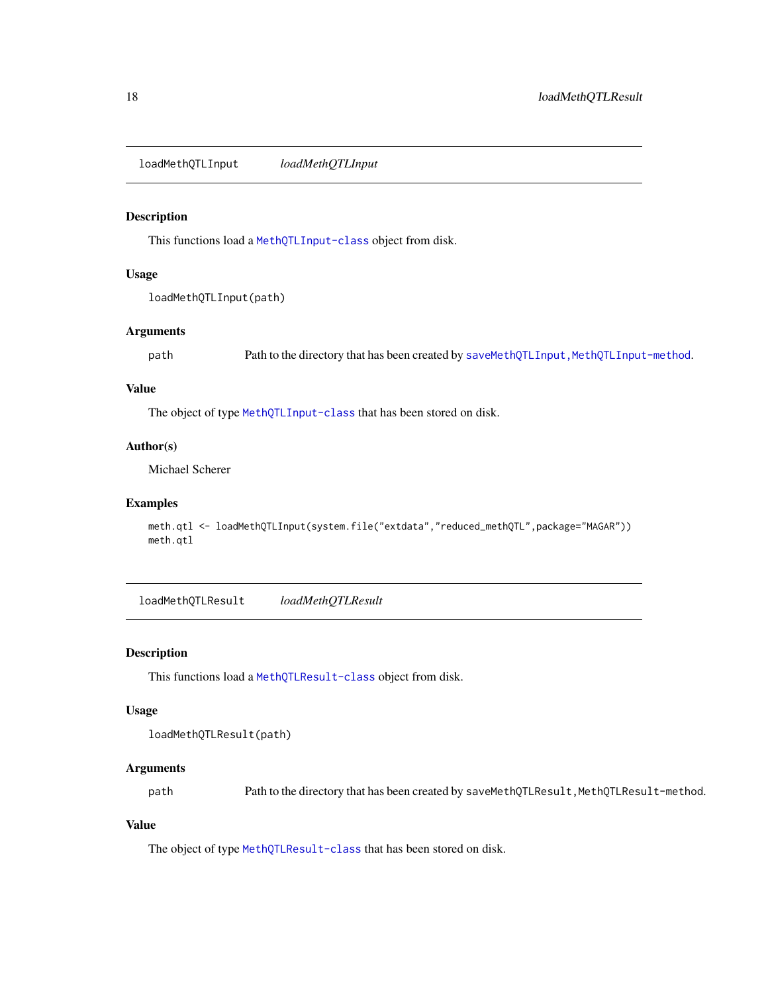<span id="page-17-0"></span>loadMethQTLInput *loadMethQTLInput*

#### Description

This functions load a [MethQTLInput-class](#page-18-1) object from disk.

#### Usage

loadMethQTLInput(path)

#### Arguments

path Path to the directory that has been created by saveMethQTLInput, MethQTLInput-method.

#### Value

The object of type [MethQTLInput-class](#page-18-1) that has been stored on disk.

#### Author(s)

Michael Scherer

#### Examples

```
meth.qtl <- loadMethQTLInput(system.file("extdata","reduced_methQTL",package="MAGAR"))
meth.qtl
```
<span id="page-17-1"></span>loadMethQTLResult *loadMethQTLResult*

#### Description

This functions load a [MethQTLResult-class](#page-19-1) object from disk.

#### Usage

```
loadMethQTLResult(path)
```
#### Arguments

path Path to the directory that has been created by saveMethQTLResult,MethQTLResult-method.

#### Value

The object of type [MethQTLResult-class](#page-19-1) that has been stored on disk.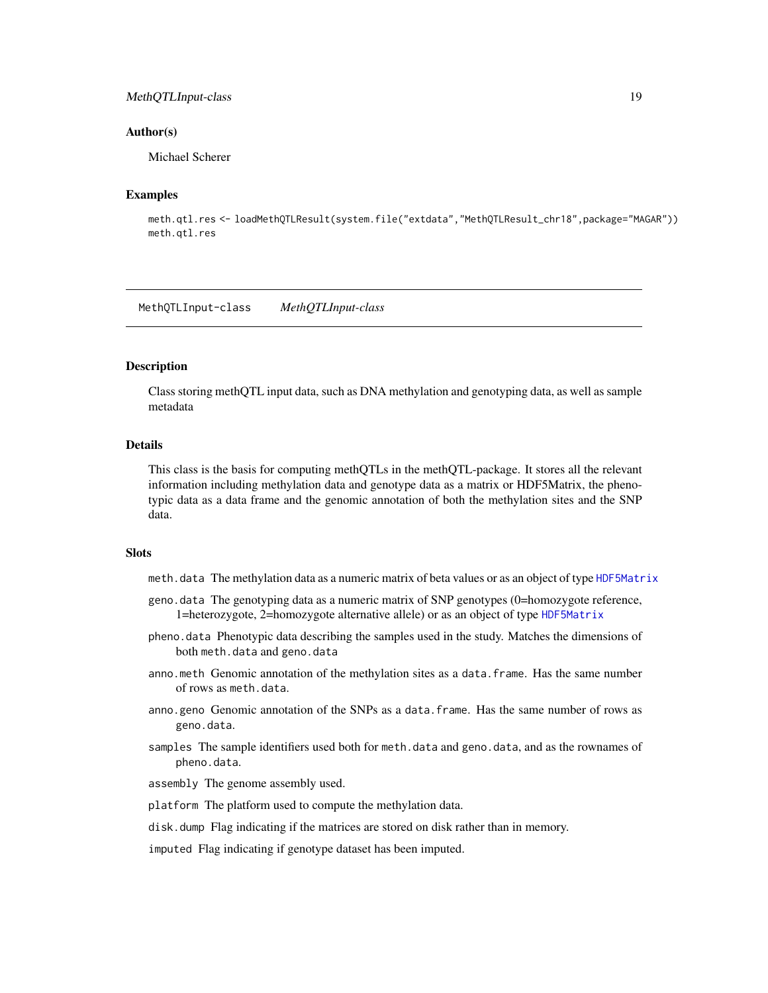#### <span id="page-18-0"></span>MethQTLInput-class 19

#### Author(s)

Michael Scherer

#### Examples

```
meth.qtl.res <- loadMethQTLResult(system.file("extdata","MethQTLResult_chr18",package="MAGAR"))
meth.qtl.res
```
<span id="page-18-1"></span>MethQTLInput-class *MethQTLInput-class*

#### Description

Class storing methQTL input data, such as DNA methylation and genotyping data, as well as sample metadata

#### **Details**

This class is the basis for computing methQTLs in the methQTL-package. It stores all the relevant information including methylation data and genotype data as a matrix or HDF5Matrix, the phenotypic data as a data frame and the genomic annotation of both the methylation sites and the SNP data.

#### **Slots**

- meth.data The methylation data as a numeric matrix of beta values or as an object of type [HDF5Matrix](#page-0-0)
- geno.data The genotyping data as a numeric matrix of SNP genotypes (0=homozygote reference, 1=heterozygote, 2=homozygote alternative allele) or as an object of type [HDF5Matrix](#page-0-0)
- pheno.data Phenotypic data describing the samples used in the study. Matches the dimensions of both meth.data and geno.data
- anno.meth Genomic annotation of the methylation sites as a data.frame. Has the same number of rows as meth.data.
- anno.geno Genomic annotation of the SNPs as a data.frame. Has the same number of rows as geno.data.
- samples The sample identifiers used both for meth.data and geno.data, and as the rownames of pheno.data.
- assembly The genome assembly used.
- platform The platform used to compute the methylation data.
- disk.dump Flag indicating if the matrices are stored on disk rather than in memory.

imputed Flag indicating if genotype dataset has been imputed.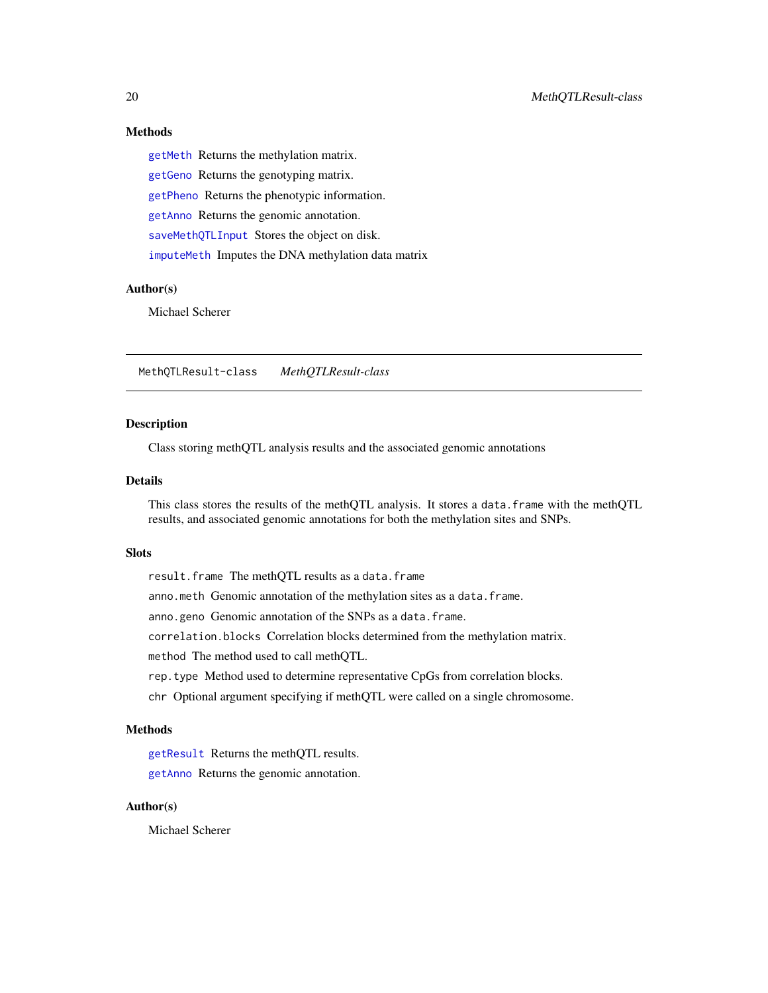### Methods

[getMeth](#page-10-1) Returns the methylation matrix. [getGeno](#page-9-1) Returns the genotyping matrix. [getPheno](#page-12-1) Returns the phenotypic information. [getAnno](#page-8-1) Returns the genomic annotation. [saveMethQTLInput](#page-38-1) Stores the object on disk. [imputeMeth](#page-15-1) Imputes the DNA methylation data matrix

#### Author(s)

Michael Scherer

<span id="page-19-1"></span>MethQTLResult-class *MethQTLResult-class*

#### **Description**

Class storing methQTL analysis results and the associated genomic annotations

#### Details

This class stores the results of the methQTL analysis. It stores a data.frame with the methQTL results, and associated genomic annotations for both the methylation sites and SNPs.

#### Slots

result.frame The methQTL results as a data.frame

anno.meth Genomic annotation of the methylation sites as a data.frame.

anno.geno Genomic annotation of the SNPs as a data.frame.

correlation.blocks Correlation blocks determined from the methylation matrix.

method The method used to call methQTL.

rep.type Method used to determine representative CpGs from correlation blocks.

chr Optional argument specifying if methQTL were called on a single chromosome.

#### Methods

[getResult](#page-13-1) Returns the methQTL results.

[getAnno](#page-8-1) Returns the genomic annotation.

#### Author(s)

Michael Scherer

<span id="page-19-0"></span>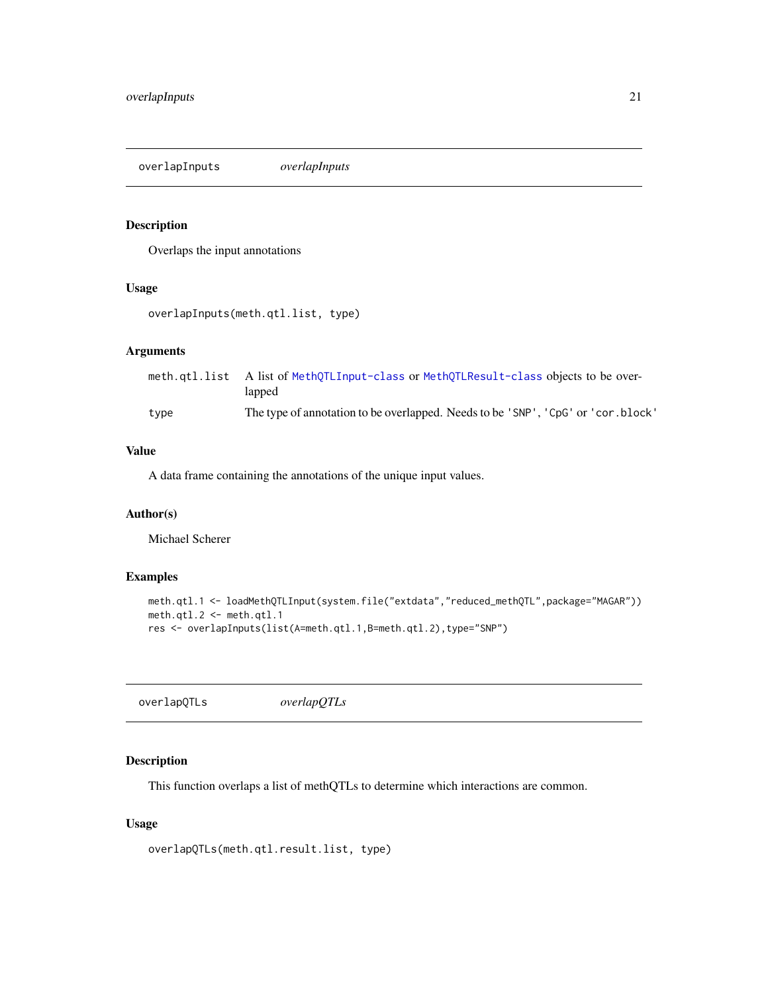<span id="page-20-0"></span>overlapInputs *overlapInputs*

#### Description

Overlaps the input annotations

#### Usage

```
overlapInputs(meth.qtl.list, type)
```
#### Arguments

|      | meth.qtl.list A list of MethQTLInput-class or MethQTLResult-class objects to be over-<br>lapped |
|------|-------------------------------------------------------------------------------------------------|
| type | The type of annotation to be overlapped. Needs to be 'SNP', 'CpG' or 'cor.block'                |

#### Value

A data frame containing the annotations of the unique input values.

#### Author(s)

Michael Scherer

#### Examples

```
meth.qtl.1 <- loadMethQTLInput(system.file("extdata","reduced_methQTL",package="MAGAR"))
meth.qtl.2 <- meth.qtl.1
res <- overlapInputs(list(A=meth.qtl.1,B=meth.qtl.2),type="SNP")
```
overlapQTLs *overlapQTLs*

#### Description

This function overlaps a list of methQTLs to determine which interactions are common.

#### Usage

```
overlapQTLs(meth.qtl.result.list, type)
```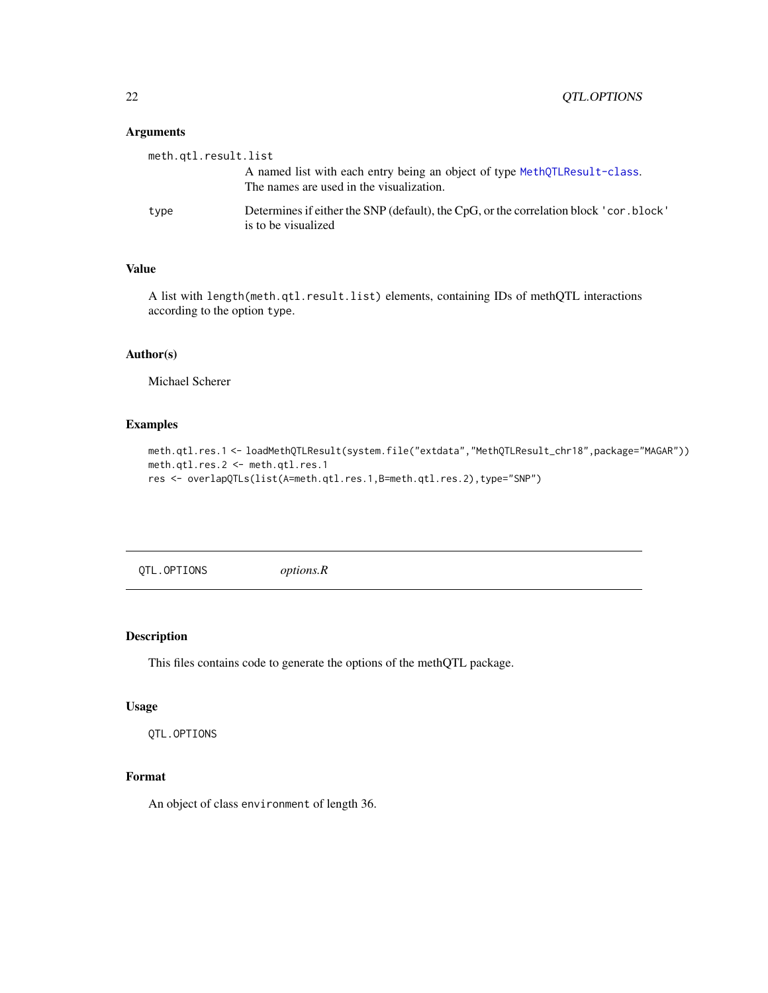#### <span id="page-21-0"></span>Arguments

| meth.qtl.result.list |                                                                                                                       |
|----------------------|-----------------------------------------------------------------------------------------------------------------------|
|                      | A named list with each entry being an object of type MethQTLResult-class.<br>The names are used in the visualization. |
| type                 | Determines if either the SNP (default), the CpG, or the correlation block ' cor. block'<br>is to be visualized        |

#### Value

A list with length(meth.qtl.result.list) elements, containing IDs of methQTL interactions according to the option type.

#### Author(s)

Michael Scherer

#### Examples

```
meth.qtl.res.1 <- loadMethQTLResult(system.file("extdata","MethQTLResult_chr18",package="MAGAR"))
meth.qtl.res.2 <- meth.qtl.res.1
res <- overlapQTLs(list(A=meth.qtl.res.1,B=meth.qtl.res.2),type="SNP")
```
QTL.OPTIONS *options.R*

#### Description

This files contains code to generate the options of the methQTL package.

#### Usage

QTL.OPTIONS

#### Format

An object of class environment of length 36.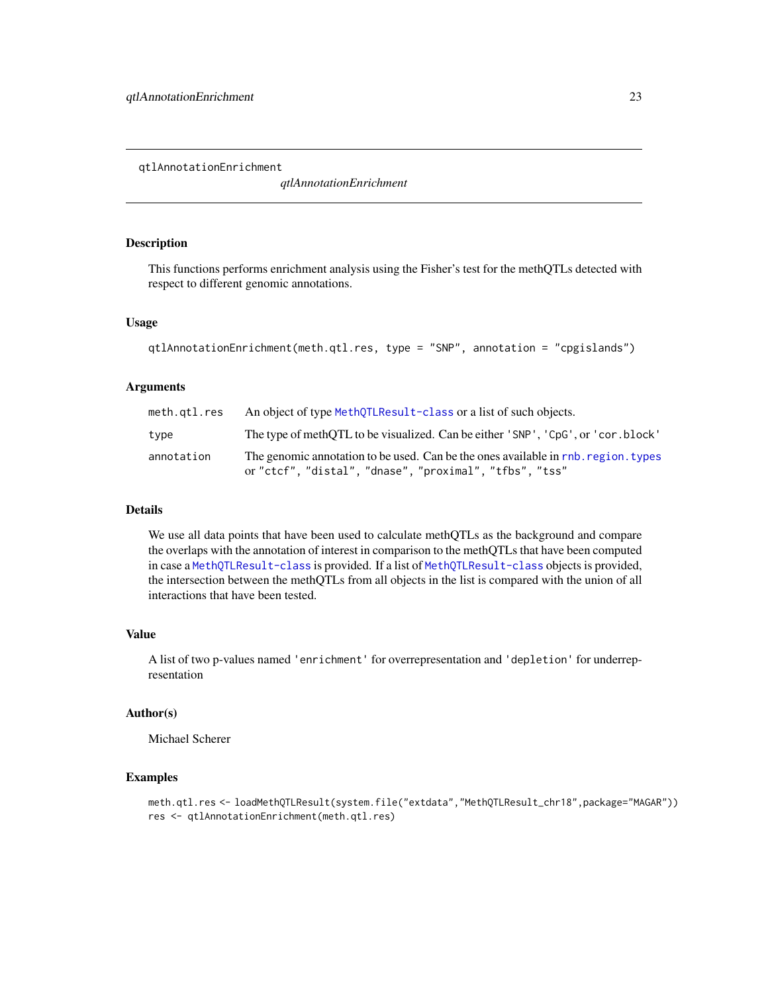<span id="page-22-0"></span>qtlAnnotationEnrichment

*qtlAnnotationEnrichment*

#### Description

This functions performs enrichment analysis using the Fisher's test for the methQTLs detected with respect to different genomic annotations.

#### Usage

```
qtlAnnotationEnrichment(meth.qtl.res, type = "SNP", annotation = "cpgislands")
```
#### Arguments

| meth.gtl.res | An object of type MethQTLResult-class or a list of such objects.                                                                              |
|--------------|-----------------------------------------------------------------------------------------------------------------------------------------------|
| type         | The type of methOTL to be visualized. Can be either 'SNP', 'CpG', or 'cor. block'                                                             |
| annotation   | The genomic annotation to be used. Can be the ones available in rnb, region, types<br>or "ctcf", "distal", "dnase", "proximal", "tfbs", "tss" |

#### Details

We use all data points that have been used to calculate methQTLs as the background and compare the overlaps with the annotation of interest in comparison to the methQTLs that have been computed in case a [MethQTLResult-class](#page-19-1) is provided. If a list of [MethQTLResult-class](#page-19-1) objects is provided, the intersection between the methQTLs from all objects in the list is compared with the union of all interactions that have been tested.

#### Value

A list of two p-values named 'enrichment' for overrepresentation and 'depletion' for underrepresentation

#### Author(s)

Michael Scherer

#### Examples

meth.qtl.res <- loadMethQTLResult(system.file("extdata","MethQTLResult\_chr18",package="MAGAR")) res <- qtlAnnotationEnrichment(meth.qtl.res)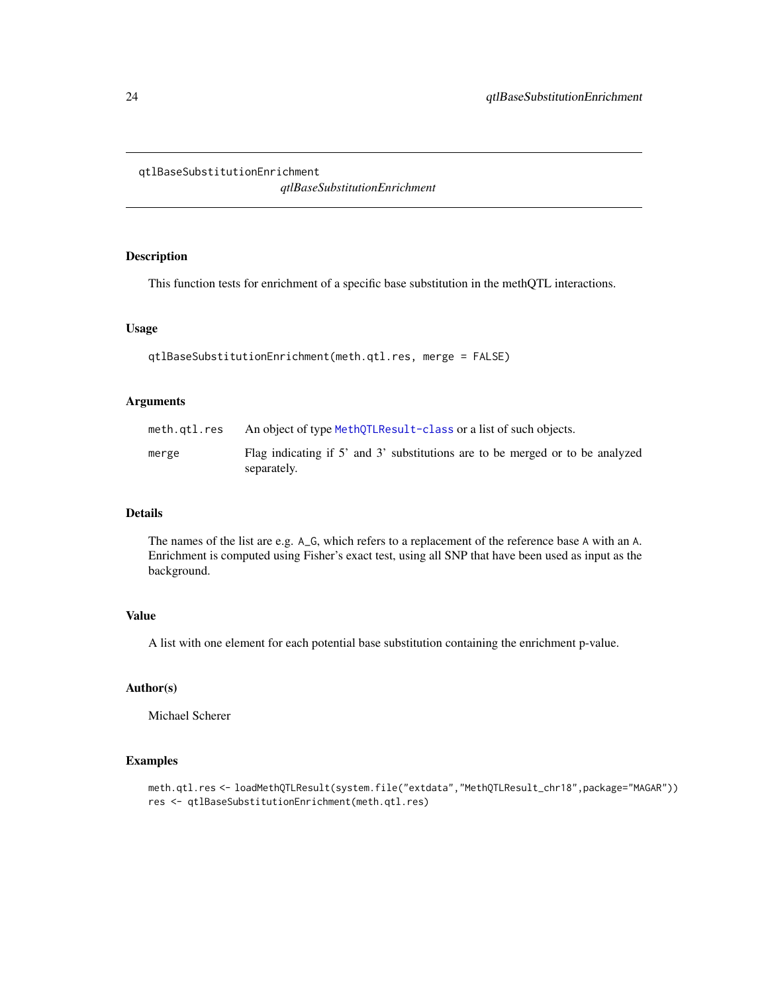<span id="page-23-1"></span><span id="page-23-0"></span>qtlBaseSubstitutionEnrichment

*qtlBaseSubstitutionEnrichment*

#### Description

This function tests for enrichment of a specific base substitution in the methQTL interactions.

#### Usage

```
qtlBaseSubstitutionEnrichment(meth.qtl.res, merge = FALSE)
```
#### Arguments

| meth.gtl.res | An object of type MethOTLResult-class or a list of such objects.                             |
|--------------|----------------------------------------------------------------------------------------------|
| merge        | Flag indicating if 5' and 3' substitutions are to be merged or to be analyzed<br>separately. |

#### Details

The names of the list are e.g. A\_G, which refers to a replacement of the reference base A with an A. Enrichment is computed using Fisher's exact test, using all SNP that have been used as input as the background.

#### Value

A list with one element for each potential base substitution containing the enrichment p-value.

#### Author(s)

Michael Scherer

#### Examples

meth.qtl.res <- loadMethQTLResult(system.file("extdata","MethQTLResult\_chr18",package="MAGAR")) res <- qtlBaseSubstitutionEnrichment(meth.qtl.res)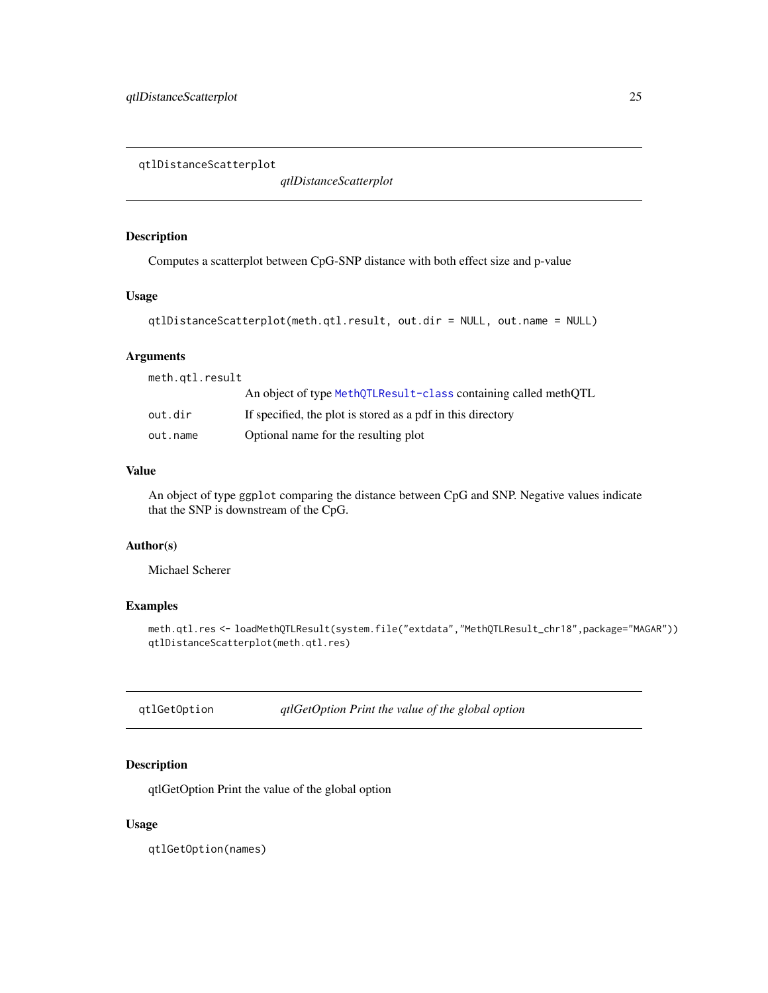<span id="page-24-0"></span>qtlDistanceScatterplot

*qtlDistanceScatterplot*

#### Description

Computes a scatterplot between CpG-SNP distance with both effect size and p-value

#### Usage

```
qtlDistanceScatterplot(meth.qtl.result, out.dir = NULL, out.name = NULL)
```
#### Arguments

| meth.gtl.result |                                                                 |
|-----------------|-----------------------------------------------------------------|
|                 | An object of type MethQTLResult-class containing called methQTL |
| out.dir         | If specified, the plot is stored as a pdf in this directory     |
| out.name        | Optional name for the resulting plot                            |

#### Value

An object of type ggplot comparing the distance between CpG and SNP. Negative values indicate that the SNP is downstream of the CpG.

#### Author(s)

Michael Scherer

#### Examples

meth.qtl.res <- loadMethQTLResult(system.file("extdata","MethQTLResult\_chr18",package="MAGAR")) qtlDistanceScatterplot(meth.qtl.res)

qtlGetOption *qtlGetOption Print the value of the global option*

#### Description

qtlGetOption Print the value of the global option

#### Usage

qtlGetOption(names)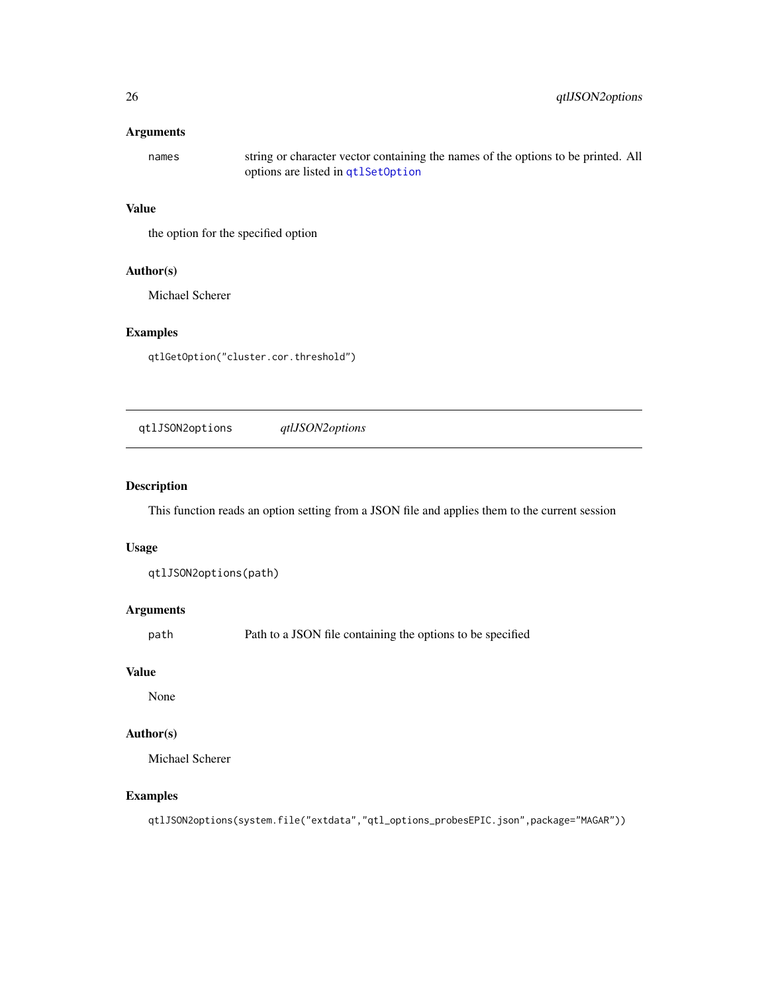#### <span id="page-25-0"></span>Arguments

names string or character vector containing the names of the options to be printed. All options are listed in [qtlSetOption](#page-30-1)

#### Value

the option for the specified option

#### Author(s)

Michael Scherer

#### Examples

qtlGetOption("cluster.cor.threshold")

qtlJSON2options *qtlJSON2options*

#### Description

This function reads an option setting from a JSON file and applies them to the current session

#### Usage

qtlJSON2options(path)

#### Arguments

path Path to a JSON file containing the options to be specified

#### Value

None

#### Author(s)

Michael Scherer

#### Examples

qtlJSON2options(system.file("extdata","qtl\_options\_probesEPIC.json",package="MAGAR"))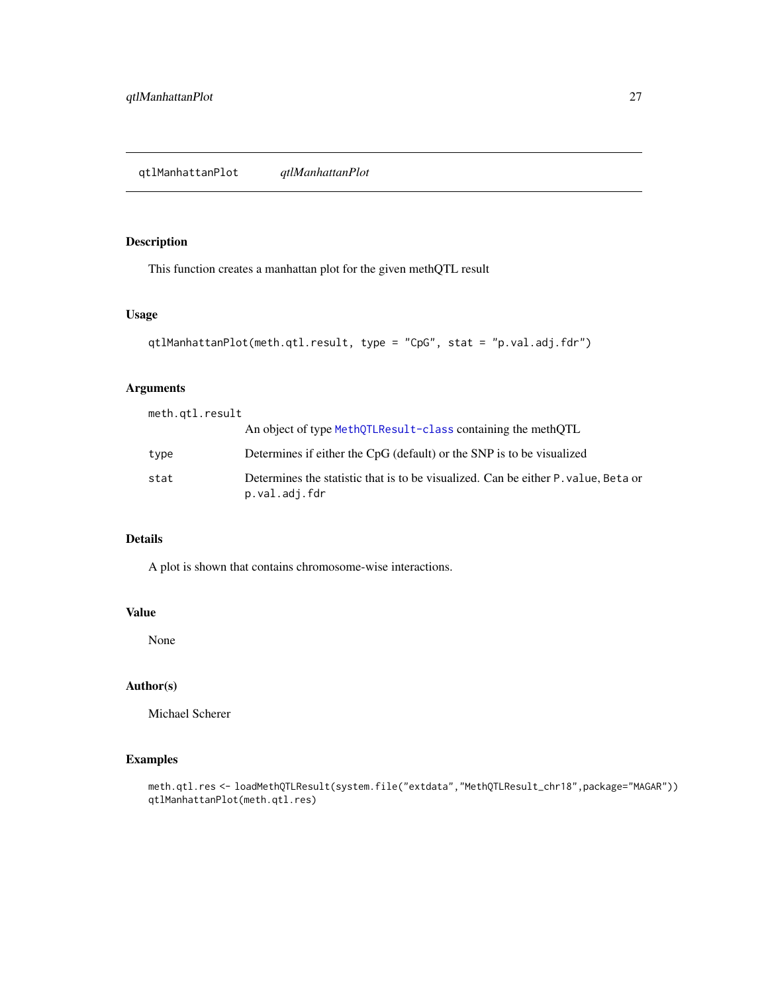#### <span id="page-26-0"></span>Description

This function creates a manhattan plot for the given methQTL result

#### Usage

```
qtlManhattanPlot(meth.qtl.result, type = "CpG", stat = "p.val.adj.fdr")
```
#### Arguments

| meth.gtl.result |                                                                                                    |
|-----------------|----------------------------------------------------------------------------------------------------|
|                 | An object of type MethQTLResult-class containing the methQTL                                       |
| type            | Determines if either the CpG (default) or the SNP is to be visualized                              |
| stat            | Determines the statistic that is to be visualized. Can be either P value, Beta or<br>p.val.adj.fdr |

#### Details

A plot is shown that contains chromosome-wise interactions.

#### Value

None

#### Author(s)

Michael Scherer

### Examples

meth.qtl.res <- loadMethQTLResult(system.file("extdata","MethQTLResult\_chr18",package="MAGAR")) qtlManhattanPlot(meth.qtl.res)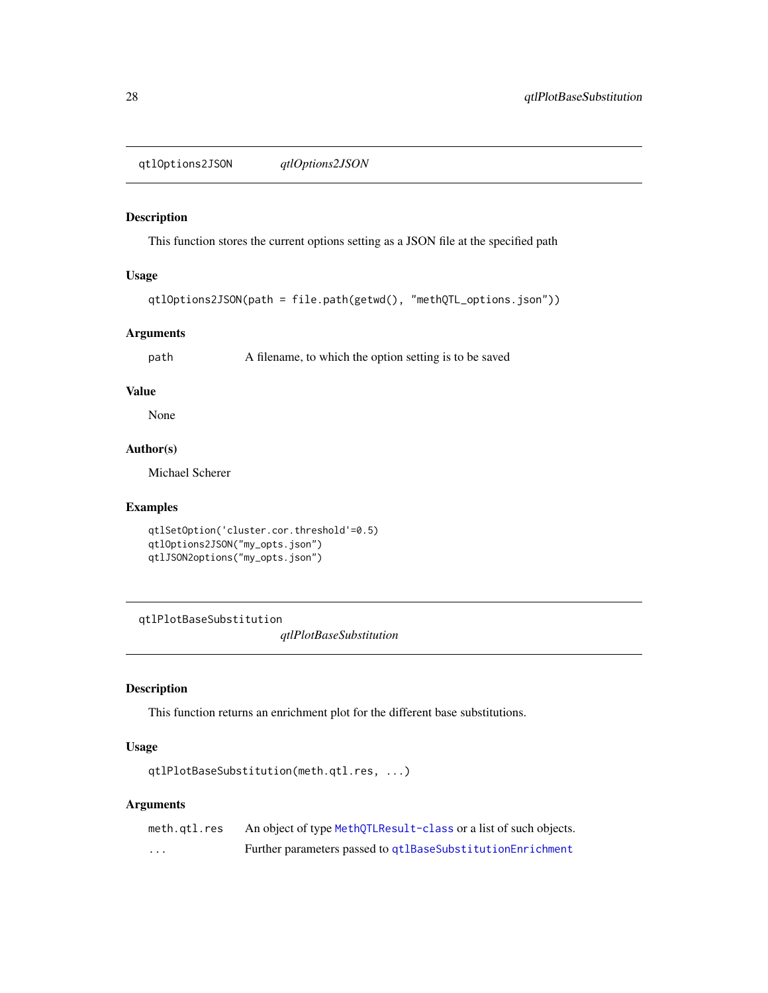<span id="page-27-0"></span>qtlOptions2JSON *qtlOptions2JSON*

#### Description

This function stores the current options setting as a JSON file at the specified path

#### Usage

```
qtlOptions2JSON(path = file.path(getwd(), "methQTL_options.json"))
```
#### Arguments

path A filename, to which the option setting is to be saved

#### Value

None

#### Author(s)

Michael Scherer

#### Examples

```
qtlSetOption('cluster.cor.threshold'=0.5)
qtlOptions2JSON("my_opts.json")
qtlJSON2options("my_opts.json")
```
qtlPlotBaseSubstitution

*qtlPlotBaseSubstitution*

#### Description

This function returns an enrichment plot for the different base substitutions.

#### Usage

```
qtlPlotBaseSubstitution(meth.qtl.res, ...)
```
#### Arguments

| meth.gtl.res | An object of type MethQTLResult-class or a list of such objects. |
|--------------|------------------------------------------------------------------|
| $\cdots$     | Further parameters passed to qtlBaseSubstitutionEnrichment       |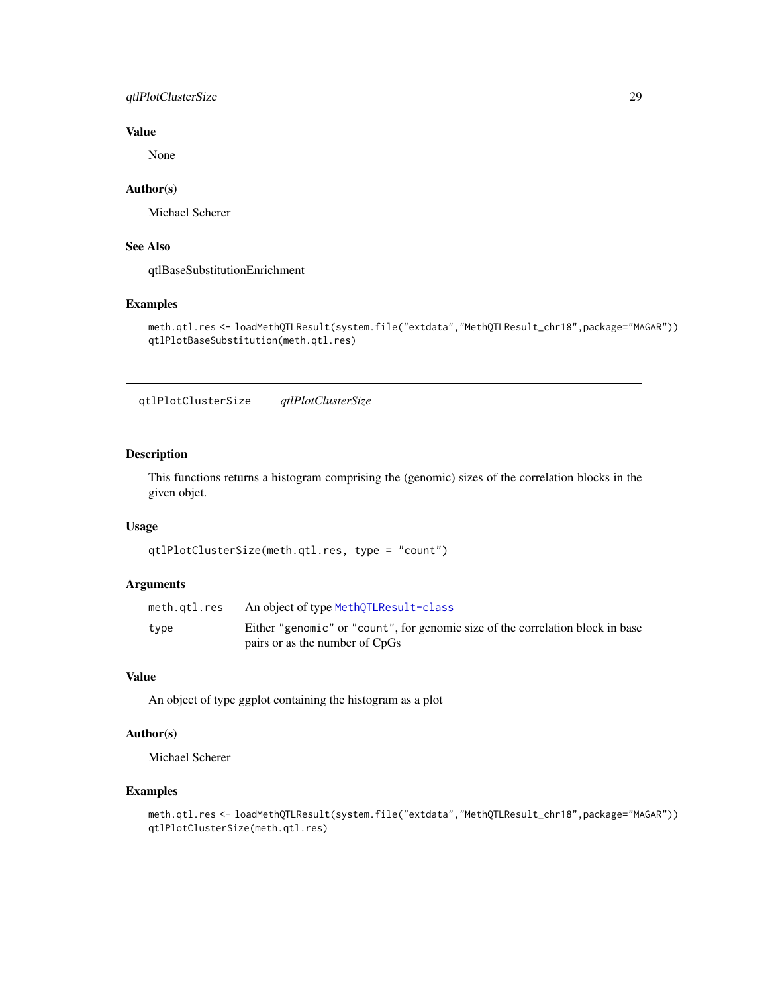#### <span id="page-28-0"></span>qtlPlotClusterSize 29

#### Value

None

#### Author(s)

Michael Scherer

#### See Also

qtlBaseSubstitutionEnrichment

#### Examples

```
meth.qtl.res <- loadMethQTLResult(system.file("extdata","MethQTLResult_chr18",package="MAGAR"))
qtlPlotBaseSubstitution(meth.qtl.res)
```
qtlPlotClusterSize *qtlPlotClusterSize*

#### Description

This functions returns a histogram comprising the (genomic) sizes of the correlation blocks in the given objet.

#### Usage

```
qtlPlotClusterSize(meth.qtl.res, type = "count")
```
#### Arguments

| meth.qtl.res | An object of type MethQTLResult-class                                          |
|--------------|--------------------------------------------------------------------------------|
| type         | Either "genomic" or "count", for genomic size of the correlation block in base |
|              | pairs or as the number of CpGs                                                 |

#### Value

An object of type ggplot containing the histogram as a plot

#### Author(s)

Michael Scherer

```
meth.qtl.res <- loadMethQTLResult(system.file("extdata","MethQTLResult_chr18",package="MAGAR"))
qtlPlotClusterSize(meth.qtl.res)
```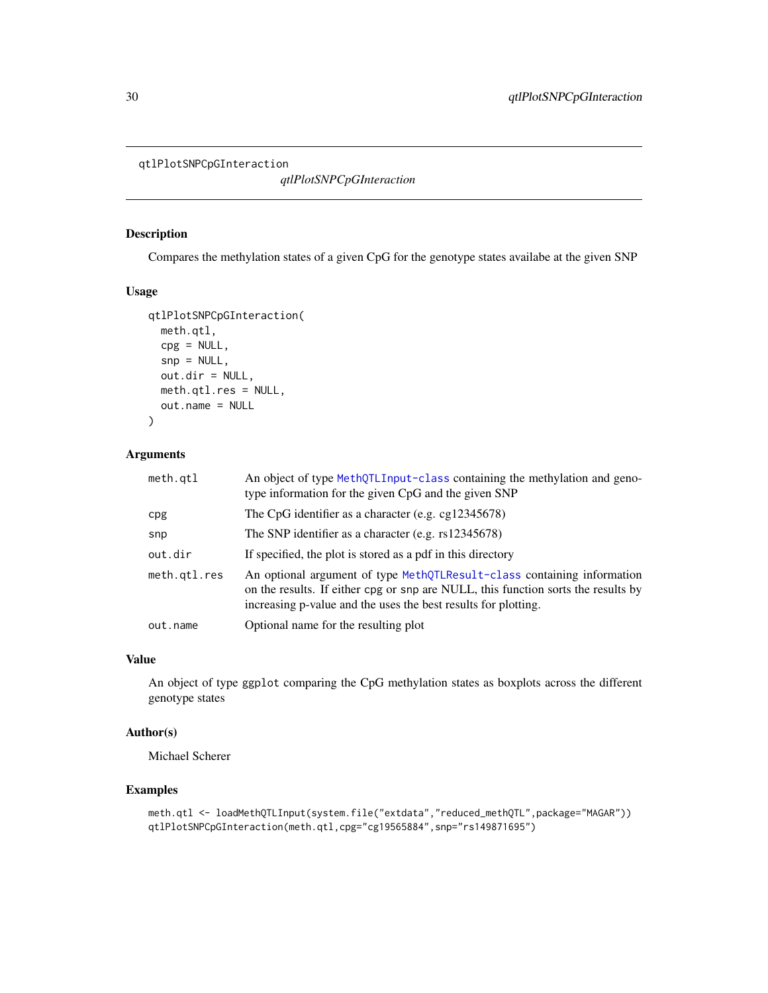```
qtlPlotSNPCpGInteraction
```
*qtlPlotSNPCpGInteraction*

#### Description

Compares the methylation states of a given CpG for the genotype states availabe at the given SNP

#### Usage

```
qtlPlotSNPCpGInteraction(
 meth.qtl,
 cpg = NULL,snp = NULL,out.dir = NULL,
 meth.qtl.res = NULL,
 out.name = NULL
)
```
#### Arguments

| meth.qt1     | An object of type MethQTLInput-class containing the methylation and geno-<br>type information for the given CpG and the given SNP                                                                                              |
|--------------|--------------------------------------------------------------------------------------------------------------------------------------------------------------------------------------------------------------------------------|
| cpg          | The CpG identifier as a character (e.g. cg12345678)                                                                                                                                                                            |
| snp          | The SNP identifier as a character (e.g. $rs12345678$ )                                                                                                                                                                         |
| out.dir      | If specified, the plot is stored as a pdf in this directory                                                                                                                                                                    |
| meth.gtl.res | An optional argument of type MethQTLResult-class containing information<br>on the results. If either cpg or snp are NULL, this function sorts the results by<br>increasing p-value and the uses the best results for plotting. |
| out.name     | Optional name for the resulting plot                                                                                                                                                                                           |

#### Value

An object of type ggplot comparing the CpG methylation states as boxplots across the different genotype states

### Author(s)

Michael Scherer

```
meth.qtl <- loadMethQTLInput(system.file("extdata","reduced_methQTL",package="MAGAR"))
qtlPlotSNPCpGInteraction(meth.qtl,cpg="cg19565884",snp="rs149871695")
```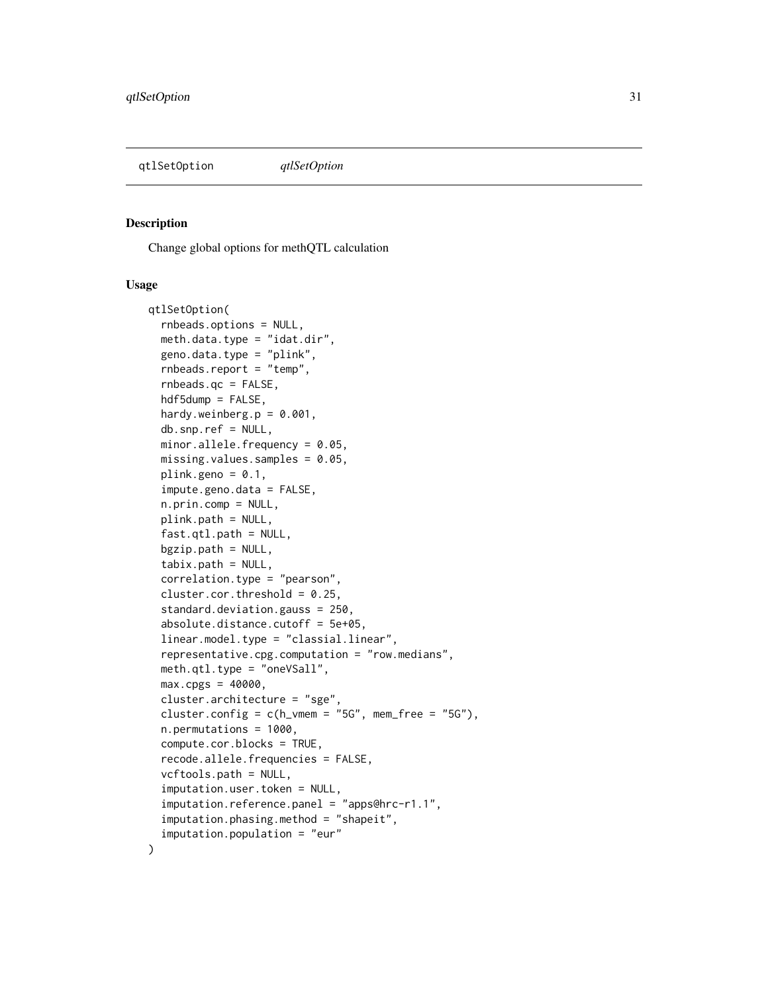<span id="page-30-1"></span><span id="page-30-0"></span>qtlSetOption *qtlSetOption*

#### Description

Change global options for methQTL calculation

#### Usage

```
qtlSetOption(
  rnbeads.options = NULL,
  meth.data.type = "idat.dir",
  geno.data.type = "plink",
  rnbeads.report = "temp",
  rnbeads.qc = FALSE,
  hdf5dump = FALSE,
  hardy.weinberg.p = 0.001,
  db.snp.ref = NULL,
 minor.allele.frequency = 0.05,
 missing.values.samples = 0.05,
  plink.geno = 0.1,
  impute.geno.data = FALSE,
  n.prin.comp = NULL,
  plink.path = NULL,
  fast.qtl.path = NULL,
  bgzip.path = NULL,
  tabix.path = NULL,
  correlation.type = "pearson",
  cluster.cor.threshold = 0.25,
  standard.deviation.gauss = 250,
  absolute.distance.cutoff = 5e+05,
  linear.model.type = "classial.linear",
  representative.cpg.computation = "row.medians",
  meth.qtl.type = "oneVSall",
 max.cpgs = 40000,
  cluster.architecture = "sge",
  cluster.config = c(h_{\text{w}} = "5G", \text{m} = "5G"),
  n.permutations = 1000,
  compute.cor.blocks = TRUE,
  recode.allele.frequencies = FALSE,
  vcftools.path = NULL,
  imputation.user.token = NULL,
  imputation.reference.panel = "apps@hrc-r1.1",
  imputation.phasing.method = "shapeit",
  imputation.population = "eur"
)
```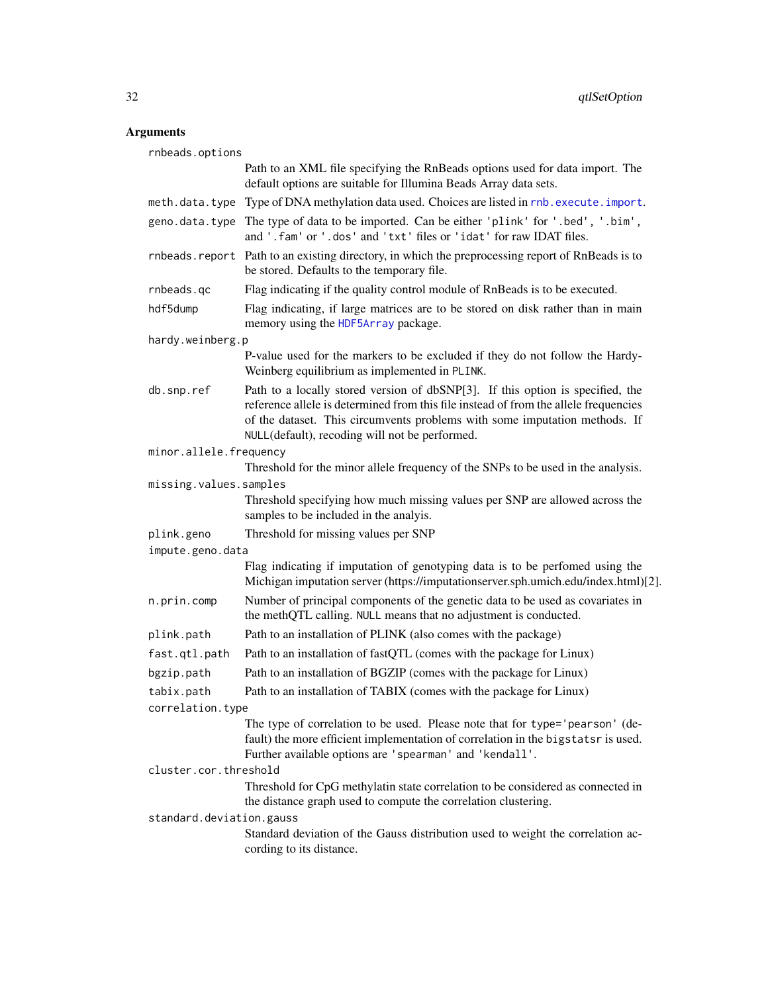#### <span id="page-31-0"></span>Arguments

rnbeads.options Path to an XML file specifying the RnBeads options used for data import. The default options are suitable for Illumina Beads Array data sets. meth.data.type Type of DNA methylation data used. Choices are listed in [rnb.execute.import](#page-0-0). geno.data.type The type of data to be imported. Can be either 'plink' for '.bed', '.bim', and '.fam' or '.dos' and 'txt' files or 'idat' for raw IDAT files. rnbeads.report Path to an existing directory, in which the preprocessing report of RnBeads is to be stored. Defaults to the temporary file. rnbeads.qc Flag indicating if the quality control module of RnBeads is to be executed. hdf5dump Flag indicating, if large matrices are to be stored on disk rather than in main memory using the [HDF5Array](#page-0-0) package. hardy.weinberg.p P-value used for the markers to be excluded if they do not follow the Hardy-Weinberg equilibrium as implemented in PLINK. db.snp.ref Path to a locally stored version of dbSNP[3]. If this option is specified, the reference allele is determined from this file instead of from the allele frequencies of the dataset. This circumvents problems with some imputation methods. If NULL(default), recoding will not be performed. minor.allele.frequency Threshold for the minor allele frequency of the SNPs to be used in the analysis. missing.values.samples Threshold specifying how much missing values per SNP are allowed across the samples to be included in the analyis. plink.geno Threshold for missing values per SNP impute.geno.data Flag indicating if imputation of genotyping data is to be perfomed using the Michigan imputation server (https://imputationserver.sph.umich.edu/index.html)[2]. n.prin.comp Number of principal components of the genetic data to be used as covariates in the methQTL calling. NULL means that no adjustment is conducted. plink.path Path to an installation of PLINK (also comes with the package) fast.qtl.path Path to an installation of fastQTL (comes with the package for Linux) bgzip.path Path to an installation of BGZIP (comes with the package for Linux) tabix.path Path to an installation of TABIX (comes with the package for Linux) correlation.type The type of correlation to be used. Please note that for type='pearson' (default) the more efficient implementation of correlation in the bigstatsr is used. Further available options are 'spearman' and 'kendall'. cluster.cor.threshold Threshold for CpG methylatin state correlation to be considered as connected in the distance graph used to compute the correlation clustering. standard.deviation.gauss Standard deviation of the Gauss distribution used to weight the correlation according to its distance.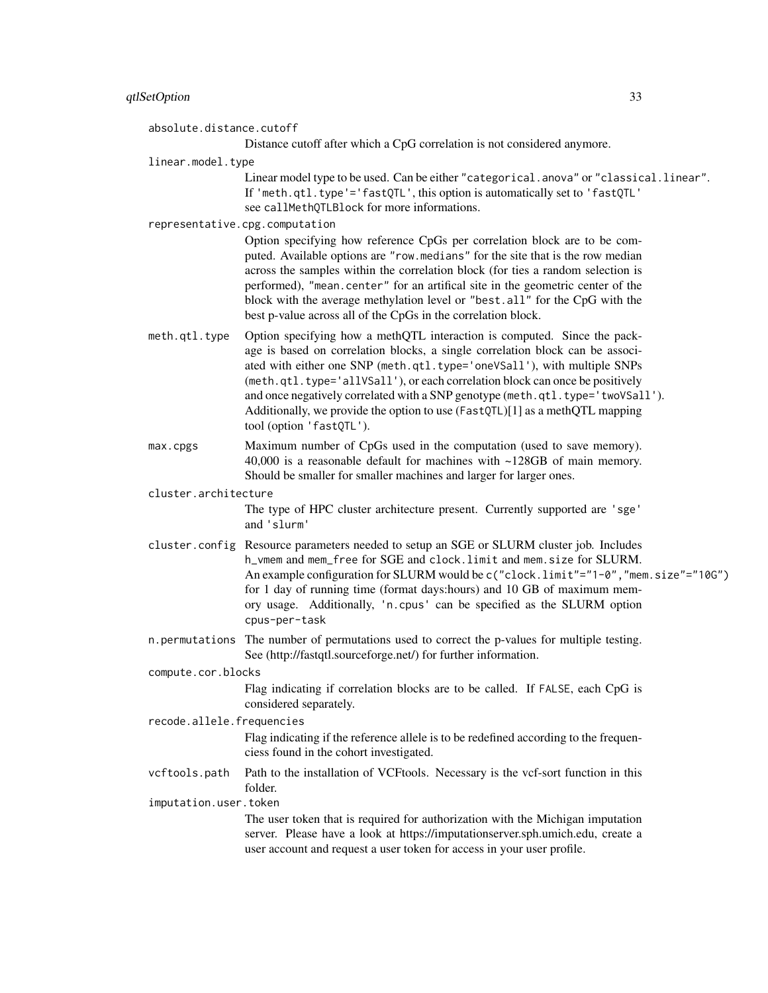| qtlSetOption              | 33                                                                                                                                                                                                                                                                                                                                                                                                                                                                                                                 |  |
|---------------------------|--------------------------------------------------------------------------------------------------------------------------------------------------------------------------------------------------------------------------------------------------------------------------------------------------------------------------------------------------------------------------------------------------------------------------------------------------------------------------------------------------------------------|--|
| absolute.distance.cutoff  |                                                                                                                                                                                                                                                                                                                                                                                                                                                                                                                    |  |
|                           | Distance cutoff after which a CpG correlation is not considered anymore.                                                                                                                                                                                                                                                                                                                                                                                                                                           |  |
| linear.model.type         |                                                                                                                                                                                                                                                                                                                                                                                                                                                                                                                    |  |
|                           | Linear model type to be used. Can be either "categorical.anova" or "classical.linear".<br>If 'meth.qtl.type'='fastQTL', this option is automatically set to 'fastQTL'<br>see callMethQTLBlock for more informations.                                                                                                                                                                                                                                                                                               |  |
|                           | representative.cpg.computation                                                                                                                                                                                                                                                                                                                                                                                                                                                                                     |  |
|                           | Option specifying how reference CpGs per correlation block are to be com-<br>puted. Available options are "row.medians" for the site that is the row median<br>across the samples within the correlation block (for ties a random selection is<br>performed), "mean.center" for an artifical site in the geometric center of the<br>block with the average methylation level or "best.all" for the CpG with the<br>best p-value across all of the CpGs in the correlation block.                                   |  |
| meth.qtl.type             | Option specifying how a methQTL interaction is computed. Since the pack-<br>age is based on correlation blocks, a single correlation block can be associ-<br>ated with either one SNP (meth.qtl.type='oneVSall'), with multiple SNPs<br>(meth.qtl.type='allVSall'), or each correlation block can once be positively<br>and once negatively correlated with a SNP genotype (meth.qtl.type='twoVSall').<br>Additionally, we provide the option to use (FastQTL)[1] as a methQTL mapping<br>tool (option 'fastQTL'). |  |
| max.cpgs                  | Maximum number of CpGs used in the computation (used to save memory).<br>40,000 is a reasonable default for machines with $\sim$ 128GB of main memory.<br>Should be smaller for smaller machines and larger for larger ones.                                                                                                                                                                                                                                                                                       |  |
| cluster.architecture      |                                                                                                                                                                                                                                                                                                                                                                                                                                                                                                                    |  |
|                           | The type of HPC cluster architecture present. Currently supported are 'sge'<br>and 'slurm'                                                                                                                                                                                                                                                                                                                                                                                                                         |  |
|                           | cluster.config Resource parameters needed to setup an SGE or SLURM cluster job. Includes<br>h_vmem and mem_free for SGE and clock.limit and mem.size for SLURM.<br>An example configuration for SLURM would be c("clock.limit"="1-0", "mem.size"="10G")<br>for 1 day of running time (format days: hours) and 10 GB of maximum mem-<br>ory usage. Additionally, 'n cpus' can be specified as the SLURM option<br>cpus-per-task                                                                                     |  |
|                           | n.permutations The number of permutations used to correct the p-values for multiple testing.<br>See (http://fastqtl.sourceforge.net/) for further information.                                                                                                                                                                                                                                                                                                                                                     |  |
| compute.cor.blocks        |                                                                                                                                                                                                                                                                                                                                                                                                                                                                                                                    |  |
|                           | Flag indicating if correlation blocks are to be called. If FALSE, each CpG is<br>considered separately.                                                                                                                                                                                                                                                                                                                                                                                                            |  |
| recode.allele.frequencies |                                                                                                                                                                                                                                                                                                                                                                                                                                                                                                                    |  |
|                           | Flag indicating if the reference allele is to be redefined according to the frequen-<br>ciess found in the cohort investigated.                                                                                                                                                                                                                                                                                                                                                                                    |  |
| vcftools.path             | Path to the installation of VCFtools. Necessary is the vcf-sort function in this<br>folder.                                                                                                                                                                                                                                                                                                                                                                                                                        |  |
| imputation.user.token     |                                                                                                                                                                                                                                                                                                                                                                                                                                                                                                                    |  |
|                           | The user token that is required for authorization with the Michigan imputation<br>server. Please have a look at https://imputationserver.sph.umich.edu, create a<br>user account and request a user token for access in your user profile.                                                                                                                                                                                                                                                                         |  |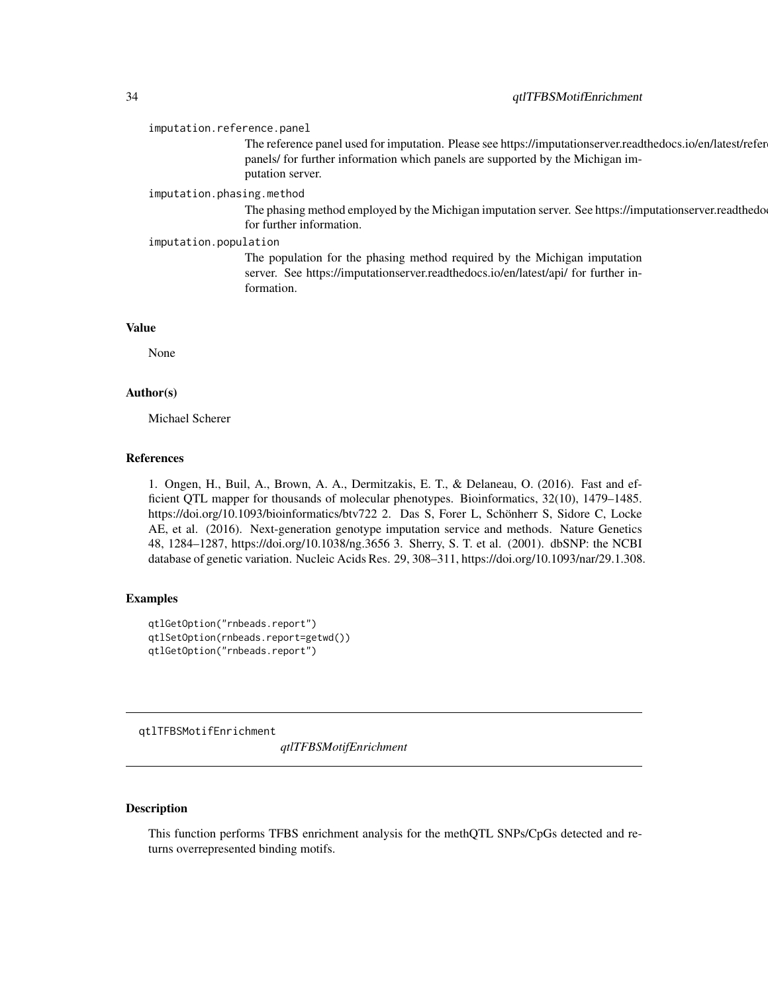#### <span id="page-33-0"></span>imputation.reference.panel

The reference panel used for imputation. Please see https://imputationserver.readthedocs.io/en/latest/refer panels/ for further information which panels are supported by the Michigan imputation server.

#### imputation.phasing.method

The phasing method employed by the Michigan imputation server. See https://imputationserver.readthedo for further information.

#### imputation.population

The population for the phasing method required by the Michigan imputation server. See https://imputationserver.readthedocs.io/en/latest/api/ for further information.

#### Value

None

#### Author(s)

Michael Scherer

#### References

1. Ongen, H., Buil, A., Brown, A. A., Dermitzakis, E. T., & Delaneau, O. (2016). Fast and efficient QTL mapper for thousands of molecular phenotypes. Bioinformatics, 32(10), 1479–1485. https://doi.org/10.1093/bioinformatics/btv722 2. Das S, Forer L, Schönherr S, Sidore C, Locke AE, et al. (2016). Next-generation genotype imputation service and methods. Nature Genetics 48, 1284–1287, https://doi.org/10.1038/ng.3656 3. Sherry, S. T. et al. (2001). dbSNP: the NCBI database of genetic variation. Nucleic Acids Res. 29, 308–311, https://doi.org/10.1093/nar/29.1.308.

#### Examples

```
qtlGetOption("rnbeads.report")
qtlSetOption(rnbeads.report=getwd())
qtlGetOption("rnbeads.report")
```
qtlTFBSMotifEnrichment

*qtlTFBSMotifEnrichment*

#### **Description**

This function performs TFBS enrichment analysis for the methQTL SNPs/CpGs detected and returns overrepresented binding motifs.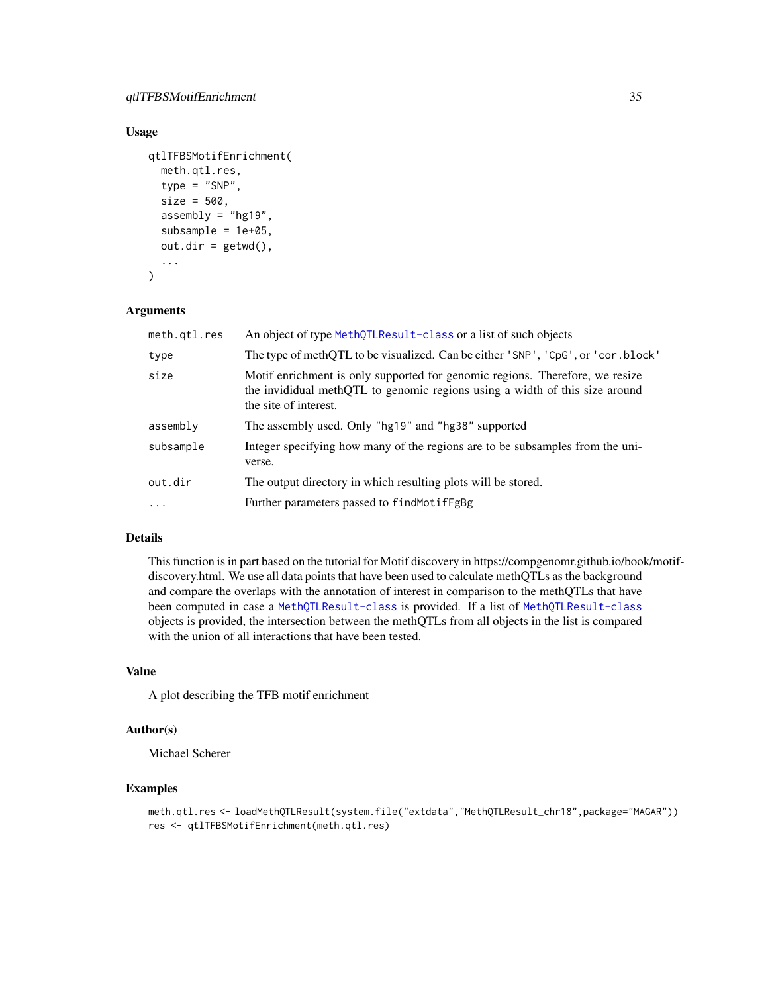#### Usage

```
qtlTFBSMotifEnrichment(
  meth.qtl.res,
  type = "SNP",
  size = 500,assembly = "hg19",subsample = 1e+05,
  out.dim = getwd(),...
\mathcal{L}
```
#### Arguments

| meth.qtl.res | An object of type MethQTLResult-class or a list of such objects                                                                                                                      |  |
|--------------|--------------------------------------------------------------------------------------------------------------------------------------------------------------------------------------|--|
| type         | The type of methQTL to be visualized. Can be either 'SNP', 'CpG', or 'cor.block'                                                                                                     |  |
| size         | Motif enrichment is only supported for genomic regions. Therefore, we resize<br>the invididual methQTL to genomic regions using a width of this size around<br>the site of interest. |  |
| assembly     | The assembly used. Only "hg19" and "hg38" supported                                                                                                                                  |  |
| subsample    | Integer specifying how many of the regions are to be subsamples from the uni-<br>verse.                                                                                              |  |
| out.dir      | The output directory in which resulting plots will be stored.                                                                                                                        |  |
| $\cdots$     | Further parameters passed to findMotifFgBg                                                                                                                                           |  |

#### Details

This function is in part based on the tutorial for Motif discovery in https://compgenomr.github.io/book/motifdiscovery.html. We use all data points that have been used to calculate methQTLs as the background and compare the overlaps with the annotation of interest in comparison to the methQTLs that have been computed in case a [MethQTLResult-class](#page-19-1) is provided. If a list of [MethQTLResult-class](#page-19-1) objects is provided, the intersection between the methQTLs from all objects in the list is compared with the union of all interactions that have been tested.

#### Value

A plot describing the TFB motif enrichment

#### Author(s)

Michael Scherer

```
meth.qtl.res <- loadMethQTLResult(system.file("extdata","MethQTLResult_chr18",package="MAGAR"))
res <- qtlTFBSMotifEnrichment(meth.qtl.res)
```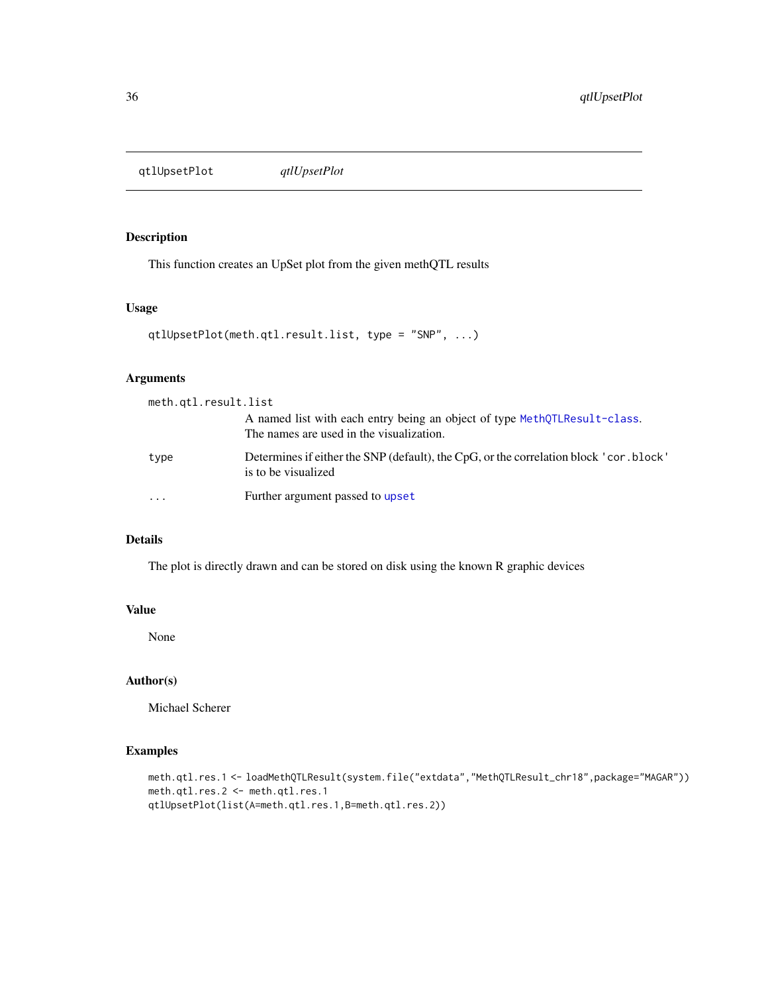<span id="page-35-0"></span>qtlUpsetPlot *qtlUpsetPlot*

#### Description

This function creates an UpSet plot from the given methQTL results

#### Usage

```
qtlUpsetPlot(meth.qtl.result.list, type = "SNP", ...)
```
#### Arguments

| meth.qtl.result.list |                                                                                                                       |
|----------------------|-----------------------------------------------------------------------------------------------------------------------|
|                      | A named list with each entry being an object of type MethOTLResult-class.<br>The names are used in the visualization. |
| type                 | Determines if either the SNP (default), the CpG, or the correlation block ' cor. block'<br>is to be visualized        |
|                      | Further argument passed to upset                                                                                      |

#### Details

The plot is directly drawn and can be stored on disk using the known R graphic devices

#### Value

None

#### Author(s)

Michael Scherer

```
meth.qtl.res.1 <- loadMethQTLResult(system.file("extdata","MethQTLResult_chr18",package="MAGAR"))
meth.qtl.res.2 <- meth.qtl.res.1
qtlUpsetPlot(list(A=meth.qtl.res.1,B=meth.qtl.res.2))
```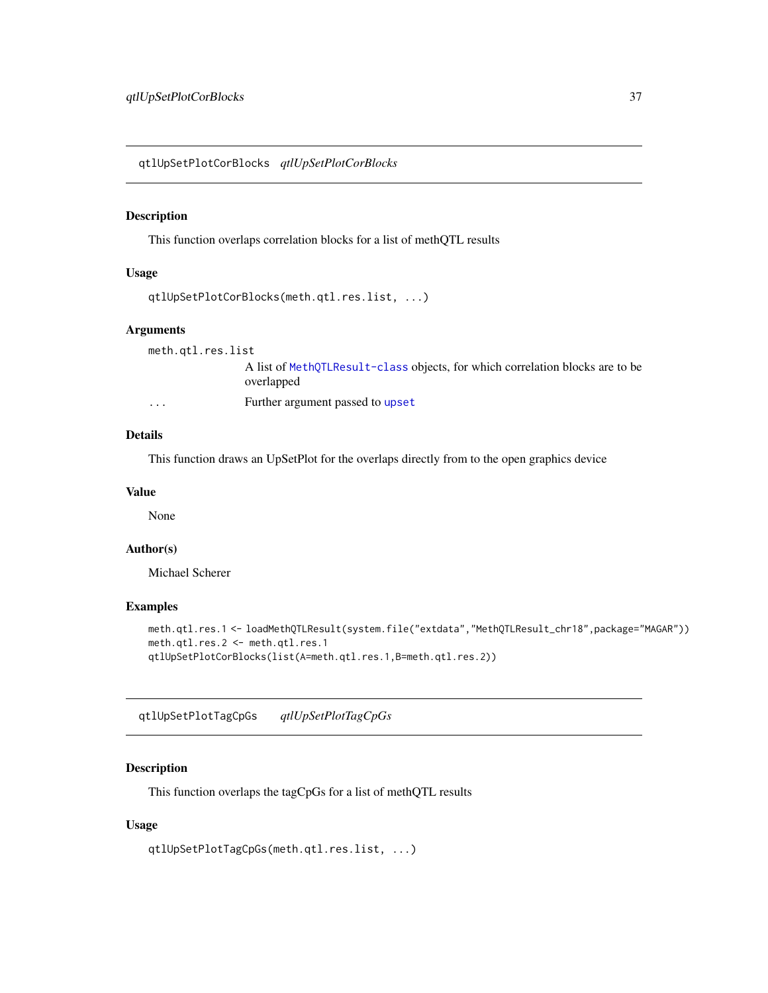<span id="page-36-0"></span>qtlUpSetPlotCorBlocks *qtlUpSetPlotCorBlocks*

#### Description

This function overlaps correlation blocks for a list of methQTL results

#### Usage

```
qtlUpSetPlotCorBlocks(meth.qtl.res.list, ...)
```
#### Arguments

meth.qtl.res.list

A list of [MethQTLResult-class](#page-19-1) objects, for which correlation blocks are to be overlapped

... Further argument passed to [upset](#page-0-0)

### Details

This function draws an UpSetPlot for the overlaps directly from to the open graphics device

#### Value

None

#### Author(s)

Michael Scherer

#### Examples

```
meth.qtl.res.1 <- loadMethQTLResult(system.file("extdata","MethQTLResult_chr18",package="MAGAR"))
meth.qtl.res.2 <- meth.qtl.res.1
qtlUpSetPlotCorBlocks(list(A=meth.qtl.res.1,B=meth.qtl.res.2))
```
qtlUpSetPlotTagCpGs *qtlUpSetPlotTagCpGs*

#### Description

This function overlaps the tagCpGs for a list of methQTL results

#### Usage

qtlUpSetPlotTagCpGs(meth.qtl.res.list, ...)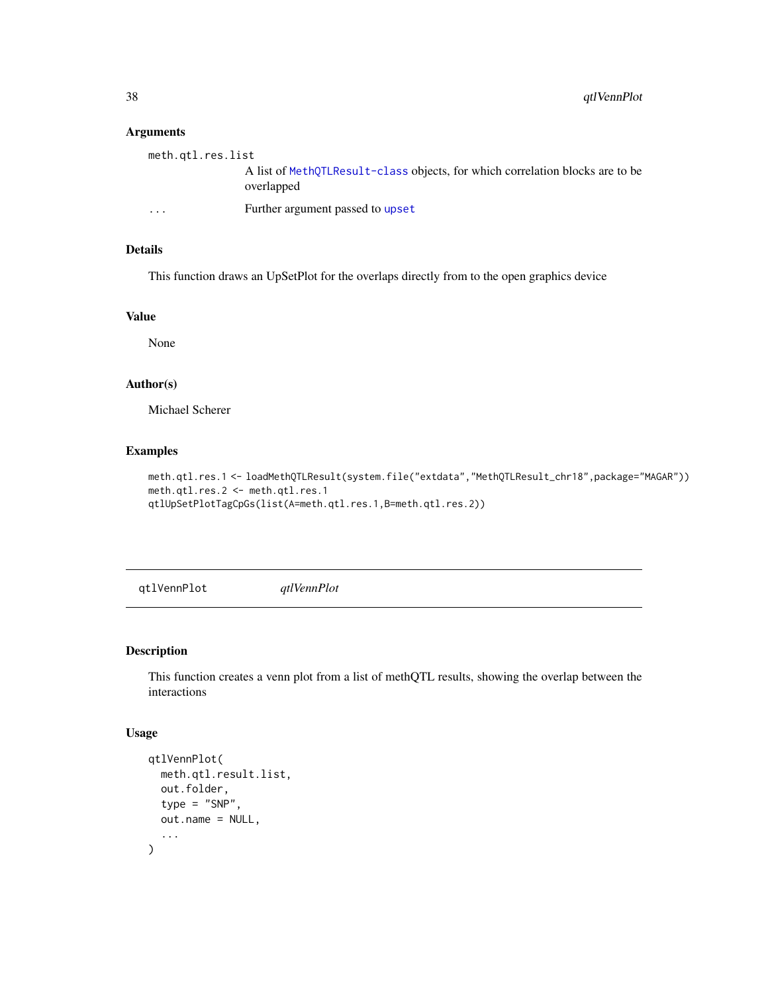#### Arguments

| meth.gtl.res.list |                                                                                             |
|-------------------|---------------------------------------------------------------------------------------------|
|                   | A list of MethOTLResult-class objects, for which correlation blocks are to be<br>overlapped |
| .                 | Further argument passed to upset                                                            |

#### Details

This function draws an UpSetPlot for the overlaps directly from to the open graphics device

#### Value

None

#### Author(s)

Michael Scherer

#### Examples

```
meth.qtl.res.1 <- loadMethQTLResult(system.file("extdata","MethQTLResult_chr18",package="MAGAR"))
meth.qtl.res.2 <- meth.qtl.res.1
qtlUpSetPlotTagCpGs(list(A=meth.qtl.res.1,B=meth.qtl.res.2))
```
qtlVennPlot *qtlVennPlot*

#### Description

This function creates a venn plot from a list of methQTL results, showing the overlap between the interactions

#### Usage

```
qtlVennPlot(
  meth.qtl.result.list,
  out.folder,
  type = "SNP",
  out.name = NULL,
  ...
\mathcal{L}
```
<span id="page-37-0"></span>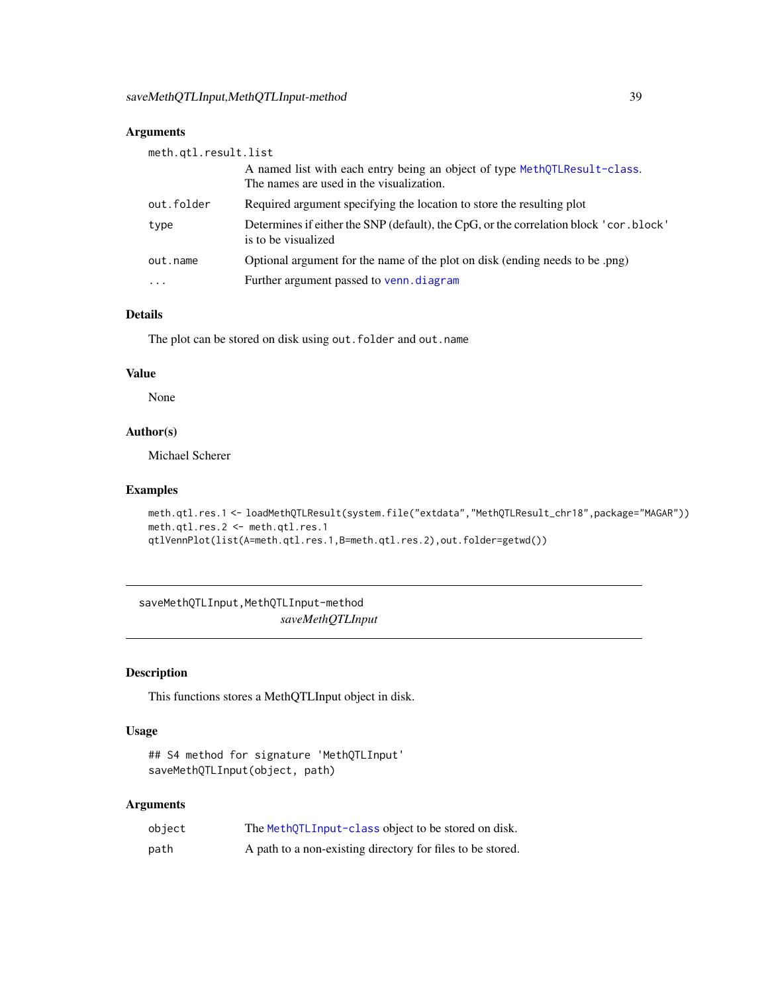#### <span id="page-38-0"></span>Arguments

| meth.qtl.result.list |                                                                                                                       |  |
|----------------------|-----------------------------------------------------------------------------------------------------------------------|--|
|                      | A named list with each entry being an object of type MethQTLResult-class.<br>The names are used in the visualization. |  |
| out.folder           | Required argument specifying the location to store the resulting plot                                                 |  |
| type                 | Determines if either the SNP (default), the CpG, or the correlation block ' cor. block'<br>is to be visualized        |  |
| out.name             | Optional argument for the name of the plot on disk (ending needs to be .png)                                          |  |
| $\cdot$              | Further argument passed to venn. diagram                                                                              |  |

#### Details

The plot can be stored on disk using out.folder and out.name

#### Value

None

#### Author(s)

Michael Scherer

#### Examples

```
meth.qtl.res.1 <- loadMethQTLResult(system.file("extdata","MethQTLResult_chr18",package="MAGAR"))
meth.qtl.res.2 <- meth.qtl.res.1
qtlVennPlot(list(A=meth.qtl.res.1,B=meth.qtl.res.2),out.folder=getwd())
```
<span id="page-38-1"></span>saveMethQTLInput,MethQTLInput-method *saveMethQTLInput*

#### Description

This functions stores a MethQTLInput object in disk.

#### Usage

```
## S4 method for signature 'MethQTLInput'
saveMethQTLInput(object, path)
```
#### Arguments

| object | The MethQTLInput-class object to be stored on disk.        |
|--------|------------------------------------------------------------|
| path   | A path to a non-existing directory for files to be stored. |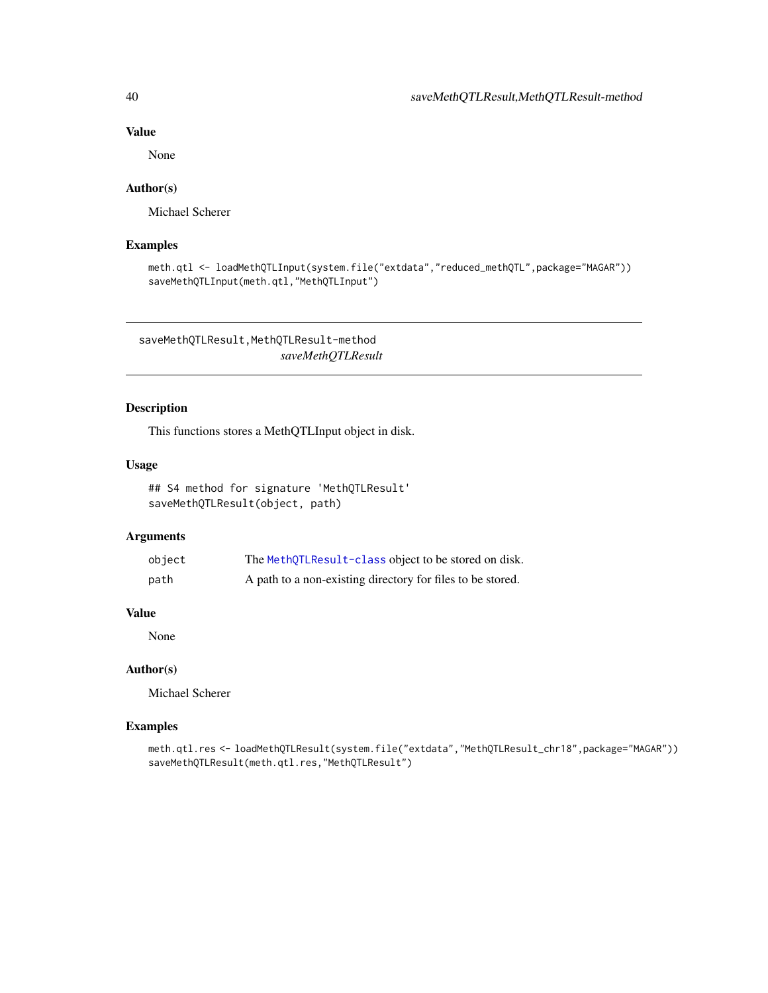#### Value

None

#### Author(s)

Michael Scherer

#### Examples

```
meth.qtl <- loadMethQTLInput(system.file("extdata","reduced_methQTL",package="MAGAR"))
saveMethQTLInput(meth.qtl,"MethQTLInput")
```
saveMethQTLResult,MethQTLResult-method *saveMethQTLResult*

#### Description

This functions stores a MethQTLInput object in disk.

#### Usage

```
## S4 method for signature 'MethQTLResult'
saveMethQTLResult(object, path)
```
#### Arguments

| object | The MethQTLResult-class object to be stored on disk.       |
|--------|------------------------------------------------------------|
| path   | A path to a non-existing directory for files to be stored. |

#### Value

None

#### Author(s)

Michael Scherer

```
meth.qtl.res <- loadMethQTLResult(system.file("extdata","MethQTLResult_chr18",package="MAGAR"))
saveMethQTLResult(meth.qtl.res,"MethQTLResult")
```
<span id="page-39-0"></span>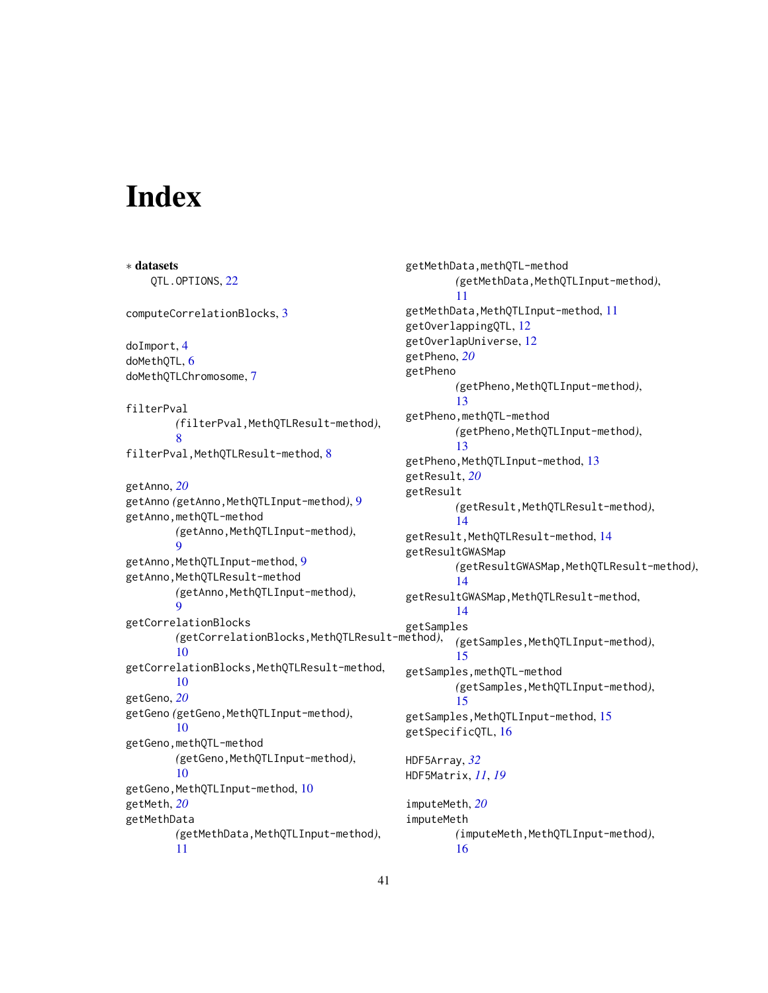# <span id="page-40-0"></span>**Index**

∗ datasets QTL.OPTIONS, [22](#page-21-0) computeCorrelationBlocks, [3](#page-2-0) doImport, [4](#page-3-0) doMethQTL, [6](#page-5-0) doMethQTLChromosome, [7](#page-6-0) filterPval *(*filterPval,MethQTLResult-method*)*, [8](#page-7-0) filterPval,MethQTLResult-method, [8](#page-7-0) getAnno, *[20](#page-19-0)* getAnno *(*getAnno,MethQTLInput-method*)*, [9](#page-8-0) getAnno,methQTL-method *(*getAnno,MethQTLInput-method*)*, **Q** getAnno, MethQTLInput-method, [9](#page-8-0) getAnno, MethQTLResult-method *(*getAnno,MethQTLInput-method*)*, [9](#page-8-0) getCorrelationBlocks *(*getCorrelationBlocks,MethQTLResult-method*)*, [10](#page-9-0) getCorrelationBlocks,MethQTLResult-method, [10](#page-9-0) getGeno, *[20](#page-19-0)* getGeno *(*getGeno,MethQTLInput-method*)*, [10](#page-9-0) getGeno,methQTL-method *(*getGeno,MethQTLInput-method*)*, [10](#page-9-0) getGeno, MethQTLInput-method, [10](#page-9-0) getMeth, *[20](#page-19-0)* getMethData *(*getMethData,MethQTLInput-method*)*, [11](#page-10-0)

getMethData,methQTL-method *(*getMethData,MethQTLInput-method*)*, [11](#page-10-0) getMethData,MethQTLInput-method, [11](#page-10-0) getOverlappingQTL, [12](#page-11-0) getOverlapUniverse, [12](#page-11-0) getPheno, *[20](#page-19-0)* getPheno *(*getPheno,MethQTLInput-method*)*, [13](#page-12-0) getPheno,methQTL-method *(*getPheno,MethQTLInput-method*)*, [13](#page-12-0) getPheno, MethQTLInput-method, [13](#page-12-0) getResult, *[20](#page-19-0)* getResult *(*getResult,MethQTLResult-method*)*, [14](#page-13-0) getResult,MethQTLResult-method, [14](#page-13-0) getResultGWASMap *(*getResultGWASMap,MethQTLResult-method*)*, [14](#page-13-0) getResultGWASMap,MethQTLResult-method, [14](#page-13-0) getSamples *(*getSamples,MethQTLInput-method*)*, [15](#page-14-0) getSamples,methQTL-method *(*getSamples,MethQTLInput-method*)*, [15](#page-14-0) getSamples, MethQTLInput-method, [15](#page-14-0) getSpecificQTL, [16](#page-15-0) HDF5Array, *[32](#page-31-0)* HDF5Matrix, *[11](#page-10-0)*, *[19](#page-18-0)* imputeMeth, *[20](#page-19-0)* imputeMeth *(*imputeMeth,MethQTLInput-method*)*, [16](#page-15-0)